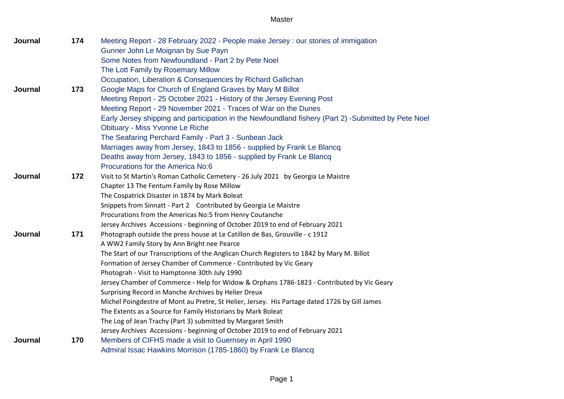| Journal | 174 | Meeting Report - 28 February 2022 - People make Jersey : our stories of immigation                   |
|---------|-----|------------------------------------------------------------------------------------------------------|
|         |     | Gunner John Le Moignan by Sue Payn                                                                   |
|         |     | Some Notes from Newfoundland - Part 2 by Pete Noel                                                   |
|         |     | The Lott Family by Rosemary Millow                                                                   |
|         |     | Occupation, Liberation & Consequences by Richard Gallichan                                           |
| Journal | 173 | Google Maps for Church of England Graves by Mary M Billot                                            |
|         |     | Meeting Report - 25 October 2021 - History of the Jersey Evening Post                                |
|         |     | Meeting Report - 29 November 2021 - Traces of War on the Dunes                                       |
|         |     | Early Jersey shipping and participation in the Newfoundland fishery (Part 2) -Submitted by Pete Noel |
|         |     | Obituary - Miss Yvonne Le Riche                                                                      |
|         |     | The Seafaring Perchard Family - Part 3 - Sunbean Jack                                                |
|         |     | Marriages away from Jersey, 1843 to 1856 - supplied by Frank Le Blancq                               |
|         |     | Deaths away from Jersey, 1843 to 1856 - supplied by Frank Le Blancq                                  |
|         |     | Procurations for the America No:6                                                                    |
| Journal | 172 | Visit to St Martin's Roman Catholic Cemetery - 26 July 2021 by Georgia Le Maistre                    |
|         |     | Chapter 13 The Fentum Family by Rose Millow                                                          |
|         |     | The Cospatrick Disaster in 1874 by Mark Boleat                                                       |
|         |     | Snippets from Sinnatt - Part 2 Contributed by Georgia Le Maistre                                     |
|         |     | Procurations from the Americas No:5 from Henry Coutanche                                             |
|         |     | Jersey Archives Accessions - beginning of October 2019 to end of February 2021                       |
| Journal | 171 | Photograph outside the press house at Le Catillon de Bas, Grouville - c 1912                         |
|         |     | A WW2 Family Story by Ann Bright nee Pearce                                                          |
|         |     | The Start of our Transcriptions of the Anglican Church Registers to 1842 by Mary M. Billot           |
|         |     | Formation of Jersey Chamber of Commerce - Contributed by Vic Geary                                   |
|         |     | Photograh - Visit to Hamptonne 30th July 1990                                                        |
|         |     | Jersey Chamber of Commerce - Help for Widow & Orphans 1786-1823 - Contributed by Vic Geary           |
|         |     | Surprising Record in Manche Archives by Helier Dreux                                                 |
|         |     | Michel Poingdestre of Mont au Pretre, St Helier, Jersey. His Partage dated 1726 by Gill James        |
|         |     | The Extents as a Source for Family Historians by Mark Boleat                                         |
|         |     | The Log of Jean Trachy (Part 3) submitted by Margaret Smith                                          |
|         |     | Jersey Archives Accessions - beginning of October 2019 to end of February 2021                       |
| Journal | 170 | Members of CIFHS made a visit to Guernsey in April 1990                                              |
|         |     | Admiral Issac Hawkins Morrison (1785-1860) by Frank Le Blancq                                        |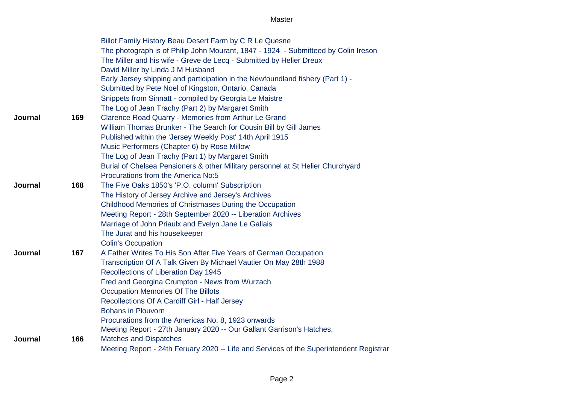|         |     | Billot Family History Beau Desert Farm by C R Le Quesne                                 |
|---------|-----|-----------------------------------------------------------------------------------------|
|         |     | The photograph is of Philip John Mourant, 1847 - 1924 - Submitteed by Colin Ireson      |
|         |     | The Miller and his wife - Greve de Lecq - Submitted by Helier Dreux                     |
|         |     | David Miller by Linda J M Husband                                                       |
|         |     | Early Jersey shipping and participation in the Newfoundland fishery (Part 1) -          |
|         |     | Submitted by Pete Noel of Kingston, Ontario, Canada                                     |
|         |     | Snippets from Sinnatt - compiled by Georgia Le Maistre                                  |
|         |     | The Log of Jean Trachy (Part 2) by Margaret Smith                                       |
| Journal | 169 | Clarence Road Quarry - Memories from Arthur Le Grand                                    |
|         |     | William Thomas Brunker - The Search for Cousin Bill by Gill James                       |
|         |     | Published within the 'Jersey Weekly Post' 14th April 1915                               |
|         |     | Music Performers (Chapter 6) by Rose Millow                                             |
|         |     | The Log of Jean Trachy (Part 1) by Margaret Smith                                       |
|         |     | Burial of Chelsea Pensioners & other Military personnel at St Helier Churchyard         |
|         |     | Procurations from the America No:5                                                      |
| Journal | 168 | The Five Oaks 1850's 'P.O. column' Subscription                                         |
|         |     | The History of Jersey Archive and Jersey's Archives                                     |
|         |     | Childhood Memories of Christmases During the Occupation                                 |
|         |     | Meeting Report - 28th September 2020 -- Liberation Archives                             |
|         |     | Marriage of John Priaulx and Evelyn Jane Le Gallais                                     |
|         |     | The Jurat and his housekeeper                                                           |
|         |     | <b>Colin's Occupation</b>                                                               |
| Journal | 167 | A Father Writes To His Son After Five Years of German Occupation                        |
|         |     | Transcription Of A Talk Given By Michael Vautier On May 28th 1988                       |
|         |     | Recollections of Liberation Day 1945                                                    |
|         |     | Fred and Georgina Crumpton - News from Wurzach                                          |
|         |     | <b>Occupation Memories Of The Billots</b>                                               |
|         |     | Recollections Of A Cardiff Girl - Half Jersey                                           |
|         |     | <b>Bohans in Plouvorn</b>                                                               |
|         |     | Procurations from the Americas No. 8, 1923 onwards                                      |
|         |     | Meeting Report - 27th January 2020 -- Our Gallant Garrison's Hatches,                   |
| Journal | 166 | <b>Matches and Dispatches</b>                                                           |
|         |     | Meeting Report - 24th Feruary 2020 -- Life and Services of the Superintendent Registrar |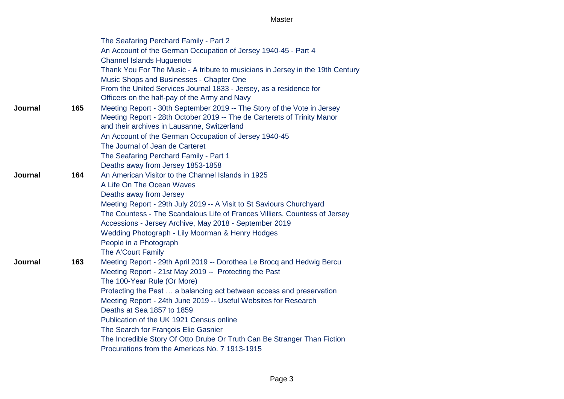|                |     | The Seafaring Perchard Family - Part 2                                                                                                                                                            |
|----------------|-----|---------------------------------------------------------------------------------------------------------------------------------------------------------------------------------------------------|
|                |     | An Account of the German Occupation of Jersey 1940-45 - Part 4<br><b>Channel Islands Huguenots</b>                                                                                                |
|                |     | Thank You For The Music - A tribute to musicians in Jersey in the 19th Century<br>Music Shops and Businesses - Chapter One                                                                        |
|                |     | From the United Services Journal 1833 - Jersey, as a residence for<br>Officers on the half-pay of the Army and Navy                                                                               |
| Journal        | 165 | Meeting Report - 30th September 2019 -- The Story of the Vote in Jersey<br>Meeting Report - 28th October 2019 -- The de Carterets of Trinity Manor<br>and their archives in Lausanne, Switzerland |
|                |     | An Account of the German Occupation of Jersey 1940-45                                                                                                                                             |
|                |     | The Journal of Jean de Carteret                                                                                                                                                                   |
|                |     | The Seafaring Perchard Family - Part 1                                                                                                                                                            |
|                |     | Deaths away from Jersey 1853-1858                                                                                                                                                                 |
| <b>Journal</b> | 164 | An American Visitor to the Channel Islands in 1925                                                                                                                                                |
|                |     | A Life On The Ocean Waves                                                                                                                                                                         |
|                |     | Deaths away from Jersey                                                                                                                                                                           |
|                |     | Meeting Report - 29th July 2019 -- A Visit to St Saviours Churchyard                                                                                                                              |
|                |     | The Countess - The Scandalous Life of Frances Villiers, Countess of Jersey                                                                                                                        |
|                |     | Accessions - Jersey Archive, May 2018 - September 2019                                                                                                                                            |
|                |     | Wedding Photograph - Lily Moorman & Henry Hodges                                                                                                                                                  |
|                |     | People in a Photograph<br>The A'Court Family                                                                                                                                                      |
| Journal        | 163 | Meeting Report - 29th April 2019 -- Dorothea Le Brocq and Hedwig Bercu                                                                                                                            |
|                |     | Meeting Report - 21st May 2019 -- Protecting the Past                                                                                                                                             |
|                |     | The 100-Year Rule (Or More)                                                                                                                                                                       |
|                |     | Protecting the Past  a balancing act between access and preservation                                                                                                                              |
|                |     | Meeting Report - 24th June 2019 -- Useful Websites for Research                                                                                                                                   |
|                |     | Deaths at Sea 1857 to 1859                                                                                                                                                                        |
|                |     | Publication of the UK 1921 Census online                                                                                                                                                          |
|                |     | The Search for François Elie Gasnier                                                                                                                                                              |
|                |     | The Incredible Story Of Otto Drube Or Truth Can Be Stranger Than Fiction                                                                                                                          |
|                |     | Procurations from the Americas No. 7 1913-1915                                                                                                                                                    |
|                |     |                                                                                                                                                                                                   |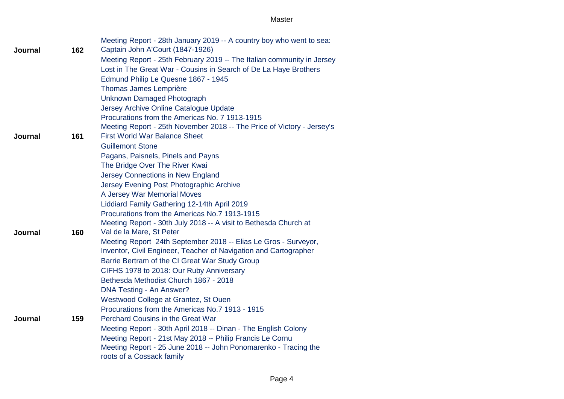|         |     | Meeting Report - 28th January 2019 -- A country boy who went to sea:   |
|---------|-----|------------------------------------------------------------------------|
| Journal | 162 | Captain John A'Court (1847-1926)                                       |
|         |     | Meeting Report - 25th February 2019 -- The Italian community in Jersey |
|         |     | Lost in The Great War - Cousins in Search of De La Haye Brothers       |
|         |     | Edmund Philip Le Quesne 1867 - 1945                                    |
|         |     | <b>Thomas James Lemprière</b>                                          |
|         |     | Unknown Damaged Photograph                                             |
|         |     | Jersey Archive Online Catalogue Update                                 |
|         |     | Procurations from the Americas No. 7 1913-1915                         |
|         |     | Meeting Report - 25th November 2018 -- The Price of Victory - Jersey's |
| Journal | 161 | <b>First World War Balance Sheet</b>                                   |
|         |     | <b>Guillemont Stone</b>                                                |
|         |     | Pagans, Paisnels, Pinels and Payns                                     |
|         |     | The Bridge Over The River Kwai                                         |
|         |     | Jersey Connections in New England                                      |
|         |     | Jersey Evening Post Photographic Archive                               |
|         |     | A Jersey War Memorial Moves                                            |
|         |     | Liddiard Family Gathering 12-14th April 2019                           |
|         |     | Procurations from the Americas No.7 1913-1915                          |
|         |     | Meeting Report - 30th July 2018 -- A visit to Bethesda Church at       |
| Journal | 160 | Val de la Mare, St Peter                                               |
|         |     | Meeting Report 24th September 2018 -- Elias Le Gros - Surveyor,        |
|         |     | Inventor, Civil Engineer, Teacher of Navigation and Cartographer       |
|         |     | Barrie Bertram of the CI Great War Study Group                         |
|         |     | CIFHS 1978 to 2018: Our Ruby Anniversary                               |
|         |     | Bethesda Methodist Church 1867 - 2018                                  |
|         |     | <b>DNA Testing - An Answer?</b>                                        |
|         |     | Westwood College at Grantez, St Ouen                                   |
|         |     | Procurations from the Americas No.7 1913 - 1915                        |
| Journal | 159 | <b>Perchard Cousins in the Great War</b>                               |
|         |     | Meeting Report - 30th April 2018 -- Dinan - The English Colony         |
|         |     | Meeting Report - 21st May 2018 -- Philip Francis Le Cornu              |
|         |     | Meeting Report - 25 June 2018 -- John Ponomarenko - Tracing the        |
|         |     | roots of a Cossack family                                              |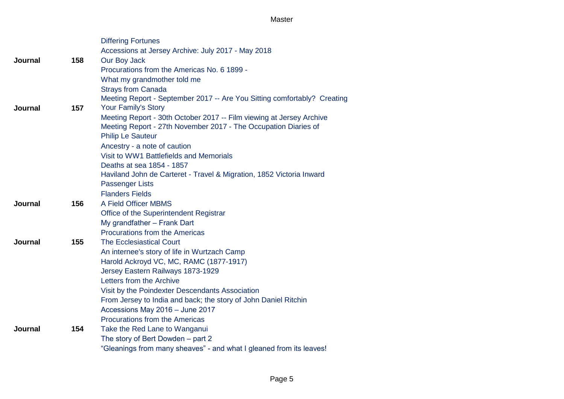|                |     | <b>Differing Fortunes</b>                                                |
|----------------|-----|--------------------------------------------------------------------------|
|                |     | Accessions at Jersey Archive: July 2017 - May 2018                       |
| Journal        | 158 | Our Boy Jack                                                             |
|                |     | Procurations from the Americas No. 6 1899 -                              |
|                |     | What my grandmother told me                                              |
|                |     | <b>Strays from Canada</b>                                                |
|                |     | Meeting Report - September 2017 -- Are You Sitting comfortably? Creating |
| Journal        | 157 | <b>Your Family's Story</b>                                               |
|                |     | Meeting Report - 30th October 2017 -- Film viewing at Jersey Archive     |
|                |     | Meeting Report - 27th November 2017 - The Occupation Diaries of          |
|                |     | <b>Philip Le Sauteur</b>                                                 |
|                |     | Ancestry - a note of caution                                             |
|                |     | Visit to WW1 Battlefields and Memorials                                  |
|                |     | Deaths at sea 1854 - 1857                                                |
|                |     | Haviland John de Carteret - Travel & Migration, 1852 Victoria Inward     |
|                |     | <b>Passenger Lists</b>                                                   |
|                |     | <b>Flanders Fields</b>                                                   |
| Journal        | 156 | A Field Officer MBMS                                                     |
|                |     | Office of the Superintendent Registrar                                   |
|                |     | My grandfather - Frank Dart                                              |
|                |     | <b>Procurations from the Americas</b>                                    |
| <b>Journal</b> | 155 | <b>The Ecclesiastical Court</b>                                          |
|                |     | An internee's story of life in Wurtzach Camp                             |
|                |     | Harold Ackroyd VC, MC, RAMC (1877-1917)                                  |
|                |     | Jersey Eastern Railways 1873-1929                                        |
|                |     | Letters from the Archive                                                 |
|                |     | Visit by the Poindexter Descendants Association                          |
|                |     | From Jersey to India and back; the story of John Daniel Ritchin          |
|                |     | Accessions May 2016 - June 2017                                          |
|                |     | <b>Procurations from the Americas</b>                                    |
| Journal        | 154 | Take the Red Lane to Wanganui                                            |
|                |     | The story of Bert Dowden - part 2                                        |
|                |     | "Gleanings from many sheaves" - and what I gleaned from its leaves!      |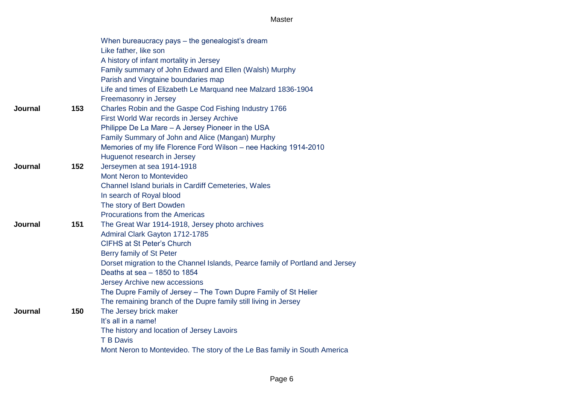|                |     | When bureaucracy pays – the genealogist's dream                               |
|----------------|-----|-------------------------------------------------------------------------------|
|                |     | Like father, like son                                                         |
|                |     | A history of infant mortality in Jersey                                       |
|                |     | Family summary of John Edward and Ellen (Walsh) Murphy                        |
|                |     | Parish and Vingtaine boundaries map                                           |
|                |     | Life and times of Elizabeth Le Marquand nee Malzard 1836-1904                 |
|                |     | Freemasonry in Jersey                                                         |
| Journal        | 153 | Charles Robin and the Gaspe Cod Fishing Industry 1766                         |
|                |     | First World War records in Jersey Archive                                     |
|                |     | Philippe De La Mare - A Jersey Pioneer in the USA                             |
|                |     | Family Summary of John and Alice (Mangan) Murphy                              |
|                |     | Memories of my life Florence Ford Wilson - nee Hacking 1914-2010              |
|                |     | Huguenot research in Jersey                                                   |
| Journal        | 152 | Jerseymen at sea 1914-1918                                                    |
|                |     | Mont Neron to Montevideo                                                      |
|                |     | Channel Island burials in Cardiff Cemeteries, Wales                           |
|                |     | In search of Royal blood                                                      |
|                |     | The story of Bert Dowden                                                      |
|                |     | Procurations from the Americas                                                |
| <b>Journal</b> | 151 | The Great War 1914-1918, Jersey photo archives                                |
|                |     | Admiral Clark Gayton 1712-1785                                                |
|                |     | <b>CIFHS at St Peter's Church</b>                                             |
|                |     | Berry family of St Peter                                                      |
|                |     | Dorset migration to the Channel Islands, Pearce family of Portland and Jersey |
|                |     | Deaths at sea - 1850 to 1854                                                  |
|                |     | Jersey Archive new accessions                                                 |
|                |     | The Dupre Family of Jersey - The Town Dupre Family of St Helier               |
|                |     | The remaining branch of the Dupre family still living in Jersey               |
| <b>Journal</b> | 150 | The Jersey brick maker                                                        |
|                |     | It's all in a name!                                                           |
|                |     | The history and location of Jersey Lavoirs                                    |
|                |     | <b>T B Davis</b>                                                              |
|                |     | Mont Neron to Montevideo. The story of the Le Bas family in South America     |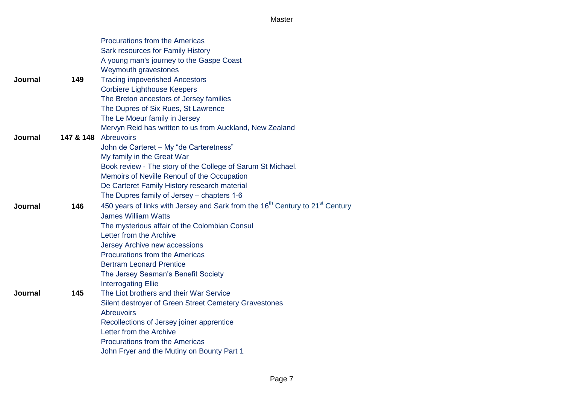|                |           | <b>Procurations from the Americas</b>                                                                 |
|----------------|-----------|-------------------------------------------------------------------------------------------------------|
|                |           | Sark resources for Family History                                                                     |
|                |           | A young man's journey to the Gaspe Coast                                                              |
|                |           | Weymouth gravestones                                                                                  |
| Journal        | 149       | <b>Tracing impoverished Ancestors</b>                                                                 |
|                |           | <b>Corbiere Lighthouse Keepers</b>                                                                    |
|                |           | The Breton ancestors of Jersey families                                                               |
|                |           | The Dupres of Six Rues, St Lawrence                                                                   |
|                |           | The Le Moeur family in Jersey                                                                         |
|                |           | Mervyn Reid has written to us from Auckland, New Zealand                                              |
| Journal        | 147 & 148 | Abreuvoirs                                                                                            |
|                |           | John de Carteret - My "de Carteretness"                                                               |
|                |           | My family in the Great War                                                                            |
|                |           | Book review - The story of the College of Sarum St Michael.                                           |
|                |           | Memoirs of Neville Renouf of the Occupation                                                           |
|                |           | De Carteret Family History research material                                                          |
|                |           | The Dupres family of Jersey - chapters 1-6                                                            |
| Journal        | 146       | 450 years of links with Jersey and Sark from the 16 <sup>th</sup> Century to 21 <sup>st</sup> Century |
|                |           | <b>James William Watts</b>                                                                            |
|                |           | The mysterious affair of the Colombian Consul                                                         |
|                |           | Letter from the Archive                                                                               |
|                |           | Jersey Archive new accessions                                                                         |
|                |           | <b>Procurations from the Americas</b>                                                                 |
|                |           | <b>Bertram Leonard Prentice</b>                                                                       |
|                |           | The Jersey Seaman's Benefit Society                                                                   |
|                |           | <b>Interrogating Ellie</b>                                                                            |
| <b>Journal</b> | 145       | The Liot brothers and their War Service                                                               |
|                |           | Silent destroyer of Green Street Cemetery Gravestones                                                 |
|                |           | <b>Abreuvoirs</b>                                                                                     |
|                |           | Recollections of Jersey joiner apprentice<br>Letter from the Archive                                  |
|                |           | <b>Procurations from the Americas</b>                                                                 |
|                |           | John Fryer and the Mutiny on Bounty Part 1                                                            |
|                |           |                                                                                                       |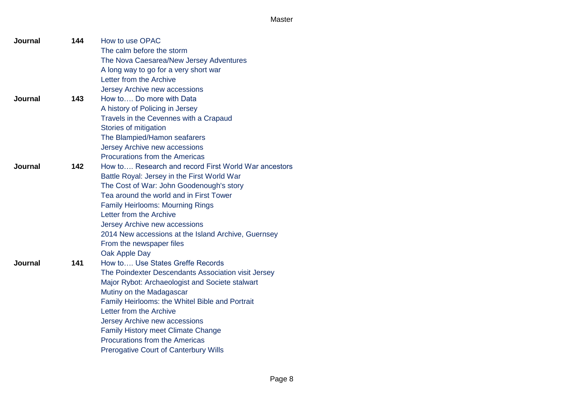| <b>Journal</b> | 144 | How to use OPAC                                      |
|----------------|-----|------------------------------------------------------|
|                |     | The calm before the storm                            |
|                |     | The Nova Caesarea/New Jersey Adventures              |
|                |     | A long way to go for a very short war                |
|                |     | Letter from the Archive                              |
|                |     | Jersey Archive new accessions                        |
| <b>Journal</b> | 143 | How to Do more with Data                             |
|                |     | A history of Policing in Jersey                      |
|                |     | Travels in the Cevennes with a Crapaud               |
|                |     | Stories of mitigation                                |
|                |     | The Blampied/Hamon seafarers                         |
|                |     | Jersey Archive new accessions                        |
|                |     | <b>Procurations from the Americas</b>                |
| Journal        | 142 | How to Research and record First World War ancestors |
|                |     | Battle Royal: Jersey in the First World War          |
|                |     | The Cost of War: John Goodenough's story             |
|                |     | Tea around the world and in First Tower              |
|                |     | <b>Family Heirlooms: Mourning Rings</b>              |
|                |     | Letter from the Archive                              |
|                |     | Jersey Archive new accessions                        |
|                |     | 2014 New accessions at the Island Archive, Guernsey  |
|                |     | From the newspaper files                             |
|                |     | Oak Apple Day                                        |
| Journal        | 141 | How to Use States Greffe Records                     |
|                |     | The Poindexter Descendants Association visit Jersey  |
|                |     | Major Rybot: Archaeologist and Societe stalwart      |
|                |     | Mutiny on the Madagascar                             |
|                |     | Family Heirlooms: the Whitel Bible and Portrait      |
|                |     | Letter from the Archive                              |
|                |     | Jersey Archive new accessions                        |
|                |     | <b>Family History meet Climate Change</b>            |
|                |     | Procurations from the Americas                       |
|                |     | <b>Prerogative Court of Canterbury Wills</b>         |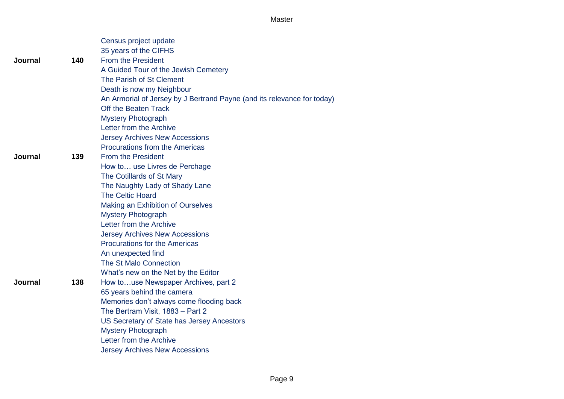|         |     | Census project update<br>35 years of the CIFHS                          |
|---------|-----|-------------------------------------------------------------------------|
| Journal | 140 | <b>From the President</b>                                               |
|         |     | A Guided Tour of the Jewish Cemetery                                    |
|         |     | The Parish of St Clement                                                |
|         |     | Death is now my Neighbour                                               |
|         |     | An Armorial of Jersey by J Bertrand Payne (and its relevance for today) |
|         |     | Off the Beaten Track                                                    |
|         |     | <b>Mystery Photograph</b>                                               |
|         |     | Letter from the Archive                                                 |
|         |     | <b>Jersey Archives New Accessions</b>                                   |
|         |     | <b>Procurations from the Americas</b>                                   |
| Journal | 139 | <b>From the President</b>                                               |
|         |     | How to use Livres de Perchage                                           |
|         |     | The Cotillards of St Mary                                               |
|         |     | The Naughty Lady of Shady Lane                                          |
|         |     | <b>The Celtic Hoard</b>                                                 |
|         |     | Making an Exhibition of Ourselves                                       |
|         |     | <b>Mystery Photograph</b>                                               |
|         |     | Letter from the Archive                                                 |
|         |     | <b>Jersey Archives New Accessions</b>                                   |
|         |     | <b>Procurations for the Americas</b>                                    |
|         |     | An unexpected find                                                      |
|         |     | The St Malo Connection                                                  |
|         |     | What's new on the Net by the Editor                                     |
| Journal | 138 | How touse Newspaper Archives, part 2                                    |
|         |     | 65 years behind the camera                                              |
|         |     | Memories don't always come flooding back                                |
|         |     | The Bertram Visit, 1883 - Part 2                                        |
|         |     | US Secretary of State has Jersey Ancestors                              |
|         |     | <b>Mystery Photograph</b>                                               |
|         |     | Letter from the Archive                                                 |
|         |     | <b>Jersey Archives New Accessions</b>                                   |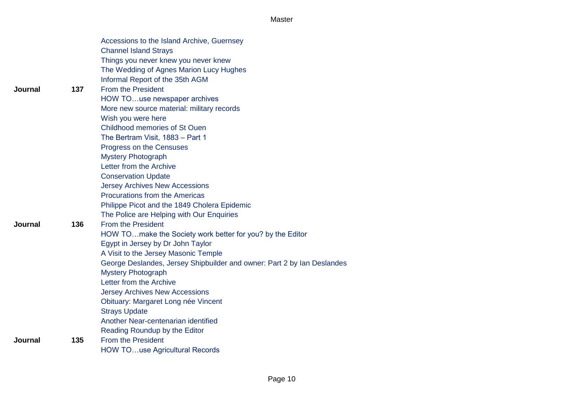|         |     | Accessions to the Island Archive, Guernsey<br><b>Channel Island Strays</b> |
|---------|-----|----------------------------------------------------------------------------|
|         |     | Things you never knew you never knew                                       |
|         |     | The Wedding of Agnes Marion Lucy Hughes                                    |
|         |     | Informal Report of the 35th AGM                                            |
| Journal | 137 | <b>From the President</b>                                                  |
|         |     | HOW TOuse newspaper archives                                               |
|         |     | More new source material: military records                                 |
|         |     | Wish you were here                                                         |
|         |     | <b>Childhood memories of St Ouen</b>                                       |
|         |     | The Bertram Visit, 1883 - Part 1                                           |
|         |     | Progress on the Censuses                                                   |
|         |     | <b>Mystery Photograph</b>                                                  |
|         |     | Letter from the Archive                                                    |
|         |     | <b>Conservation Update</b>                                                 |
|         |     | <b>Jersey Archives New Accessions</b>                                      |
|         |     | <b>Procurations from the Americas</b>                                      |
|         |     | Philippe Picot and the 1849 Cholera Epidemic                               |
|         |     | The Police are Helping with Our Enquiries                                  |
| Journal | 136 | <b>From the President</b>                                                  |
|         |     | HOW TOmake the Society work better for you? by the Editor                  |
|         |     | Egypt in Jersey by Dr John Taylor                                          |
|         |     | A Visit to the Jersey Masonic Temple                                       |
|         |     | George Deslandes, Jersey Shipbuilder and owner: Part 2 by Ian Deslandes    |
|         |     | <b>Mystery Photograph</b>                                                  |
|         |     | Letter from the Archive                                                    |
|         |     | <b>Jersey Archives New Accessions</b>                                      |
|         |     | Obituary: Margaret Long née Vincent                                        |
|         |     | <b>Strays Update</b>                                                       |
|         |     | Another Near-centenarian identified                                        |
|         |     | Reading Roundup by the Editor                                              |
| Journal | 135 | <b>From the President</b>                                                  |
|         |     | <b>HOW TOuse Agricultural Records</b>                                      |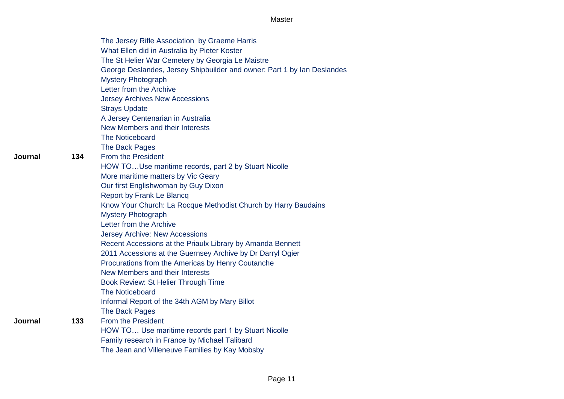Page 11

|         |     | The Jersey Rifle Association by Graeme Harris                           |
|---------|-----|-------------------------------------------------------------------------|
|         |     | What Ellen did in Australia by Pieter Koster                            |
|         |     | The St Helier War Cemetery by Georgia Le Maistre                        |
|         |     | George Deslandes, Jersey Shipbuilder and owner: Part 1 by Ian Deslandes |
|         |     | <b>Mystery Photograph</b>                                               |
|         |     | Letter from the Archive                                                 |
|         |     | <b>Jersey Archives New Accessions</b>                                   |
|         |     | <b>Strays Update</b>                                                    |
|         |     | A Jersey Centenarian in Australia                                       |
|         |     | New Members and their Interests                                         |
|         |     | <b>The Noticeboard</b>                                                  |
|         |     | The Back Pages                                                          |
| Journal | 134 | <b>From the President</b>                                               |
|         |     | HOW TOUse maritime records, part 2 by Stuart Nicolle                    |
|         |     | More maritime matters by Vic Geary                                      |
|         |     | Our first Englishwoman by Guy Dixon                                     |
|         |     | <b>Report by Frank Le Blancq</b>                                        |
|         |     | Know Your Church: La Rocque Methodist Church by Harry Baudains          |
|         |     | <b>Mystery Photograph</b>                                               |
|         |     | Letter from the Archive                                                 |
|         |     | <b>Jersey Archive: New Accessions</b>                                   |
|         |     | Recent Accessions at the Priaulx Library by Amanda Bennett              |
|         |     | 2011 Accessions at the Guernsey Archive by Dr Darryl Ogier              |
|         |     | Procurations from the Americas by Henry Coutanche                       |
|         |     | New Members and their Interests                                         |
|         |     | Book Review: St Helier Through Time                                     |
|         |     | <b>The Noticeboard</b>                                                  |
|         |     | Informal Report of the 34th AGM by Mary Billot                          |
|         |     | The Back Pages                                                          |
| Journal | 133 | <b>From the President</b>                                               |
|         |     | HOW TO Use maritime records part 1 by Stuart Nicolle                    |
|         |     | Family research in France by Michael Talibard                           |
|         |     | The Jean and Villeneuve Families by Kay Mobsby                          |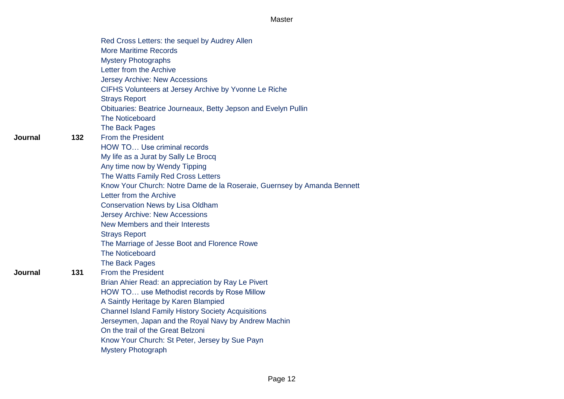|     | Red Cross Letters: the sequel by Audrey Allen                           |
|-----|-------------------------------------------------------------------------|
|     | <b>More Maritime Records</b>                                            |
|     | <b>Mystery Photographs</b>                                              |
|     | Letter from the Archive                                                 |
|     | <b>Jersey Archive: New Accessions</b>                                   |
|     | CIFHS Volunteers at Jersey Archive by Yvonne Le Riche                   |
|     | <b>Strays Report</b>                                                    |
|     | Obituaries: Beatrice Journeaux, Betty Jepson and Evelyn Pullin          |
|     | The Noticeboard                                                         |
|     | The Back Pages                                                          |
| 132 | <b>From the President</b>                                               |
|     | HOW TO Use criminal records                                             |
|     | My life as a Jurat by Sally Le Brocq                                    |
|     | Any time now by Wendy Tipping                                           |
|     | The Watts Family Red Cross Letters                                      |
|     | Know Your Church: Notre Dame de la Roseraie, Guernsey by Amanda Bennett |
|     | Letter from the Archive                                                 |
|     | <b>Conservation News by Lisa Oldham</b>                                 |
|     | <b>Jersey Archive: New Accessions</b>                                   |
|     | New Members and their Interests                                         |
|     | <b>Strays Report</b>                                                    |
|     | The Marriage of Jesse Boot and Florence Rowe                            |
|     | The Noticeboard                                                         |
|     | The Back Pages                                                          |
| 131 | <b>From the President</b>                                               |
|     | Brian Ahier Read: an appreciation by Ray Le Pivert                      |
|     | HOW TO use Methodist records by Rose Millow                             |
|     | A Saintly Heritage by Karen Blampied                                    |
|     | <b>Channel Island Family History Society Acquisitions</b>               |
|     | Jerseymen, Japan and the Royal Navy by Andrew Machin                    |
|     | On the trail of the Great Belzoni                                       |
|     | Know Your Church: St Peter, Jersey by Sue Payn                          |
|     | <b>Mystery Photograph</b>                                               |

#### **Journal**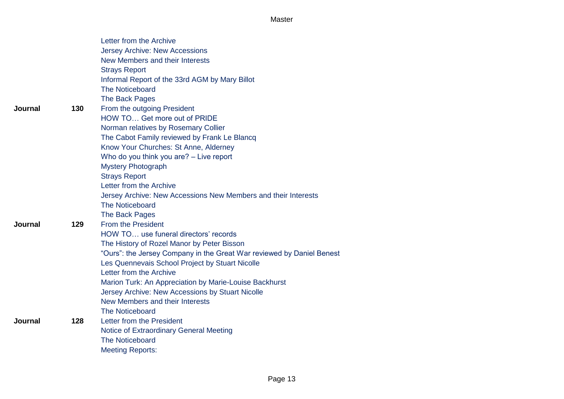|         |     | Letter from the Archive                                               |
|---------|-----|-----------------------------------------------------------------------|
|         |     | <b>Jersey Archive: New Accessions</b>                                 |
|         |     | New Members and their Interests                                       |
|         |     | <b>Strays Report</b>                                                  |
|         |     | Informal Report of the 33rd AGM by Mary Billot                        |
|         |     | The Noticeboard                                                       |
|         |     | The Back Pages                                                        |
| Journal | 130 | From the outgoing President                                           |
|         |     | HOW TO Get more out of PRIDE                                          |
|         |     | Norman relatives by Rosemary Collier                                  |
|         |     | The Cabot Family reviewed by Frank Le Blancq                          |
|         |     | Know Your Churches: St Anne, Alderney                                 |
|         |     | Who do you think you are? - Live report                               |
|         |     | <b>Mystery Photograph</b>                                             |
|         |     | <b>Strays Report</b>                                                  |
|         |     | Letter from the Archive                                               |
|         |     | Jersey Archive: New Accessions New Members and their Interests        |
|         |     | <b>The Noticeboard</b>                                                |
|         |     | The Back Pages                                                        |
| Journal | 129 | <b>From the President</b>                                             |
|         |     | HOW TO use funeral directors' records                                 |
|         |     | The History of Rozel Manor by Peter Bisson                            |
|         |     | "Ours": the Jersey Company in the Great War reviewed by Daniel Benest |
|         |     | Les Quennevais School Project by Stuart Nicolle                       |
|         |     | Letter from the Archive                                               |
|         |     | Marion Turk: An Appreciation by Marie-Louise Backhurst                |
|         |     | Jersey Archive: New Accessions by Stuart Nicolle                      |
|         |     | New Members and their Interests                                       |
|         |     | <b>The Noticeboard</b>                                                |
| Journal | 128 | Letter from the President                                             |
|         |     | <b>Notice of Extraordinary General Meeting</b>                        |
|         |     | <b>The Noticeboard</b>                                                |
|         |     | <b>Meeting Reports:</b>                                               |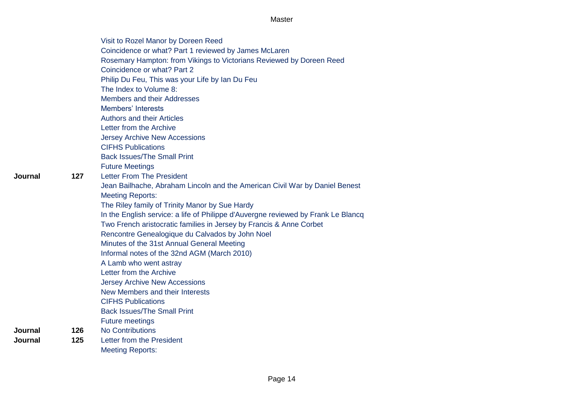|     | Visit to Rozel Manor by Doreen Reed                                               |
|-----|-----------------------------------------------------------------------------------|
|     | Coincidence or what? Part 1 reviewed by James McLaren                             |
|     | Rosemary Hampton: from Vikings to Victorians Reviewed by Doreen Reed              |
|     | Coincidence or what? Part 2                                                       |
|     | Philip Du Feu, This was your Life by Ian Du Feu                                   |
|     | The Index to Volume 8:                                                            |
|     | Members and their Addresses                                                       |
|     | <b>Members' Interests</b>                                                         |
|     | <b>Authors and their Articles</b>                                                 |
|     | Letter from the Archive                                                           |
|     | <b>Jersey Archive New Accessions</b>                                              |
|     | <b>CIFHS Publications</b>                                                         |
|     | <b>Back Issues/The Small Print</b>                                                |
|     | <b>Future Meetings</b>                                                            |
| 127 | <b>Letter From The President</b>                                                  |
|     | Jean Bailhache, Abraham Lincoln and the American Civil War by Daniel Benest       |
|     | <b>Meeting Reports:</b>                                                           |
|     | The Riley family of Trinity Manor by Sue Hardy                                    |
|     | In the English service: a life of Philippe d'Auvergne reviewed by Frank Le Blancq |
|     | Two French aristocratic families in Jersey by Francis & Anne Corbet               |
|     | Rencontre Genealogique du Calvados by John Noel                                   |
|     | Minutes of the 31st Annual General Meeting                                        |
|     | Informal notes of the 32nd AGM (March 2010)                                       |
|     | A Lamb who went astray                                                            |
|     | Letter from the Archive                                                           |
|     | <b>Jersey Archive New Accessions</b>                                              |
|     | New Members and their Interests                                                   |
|     | <b>CIFHS Publications</b>                                                         |
|     | <b>Back Issues/The Small Print</b>                                                |
|     | <b>Future meetings</b>                                                            |
| 126 | <b>No Contributions</b>                                                           |
| 125 | Letter from the President                                                         |
|     | <b>Meeting Reports:</b>                                                           |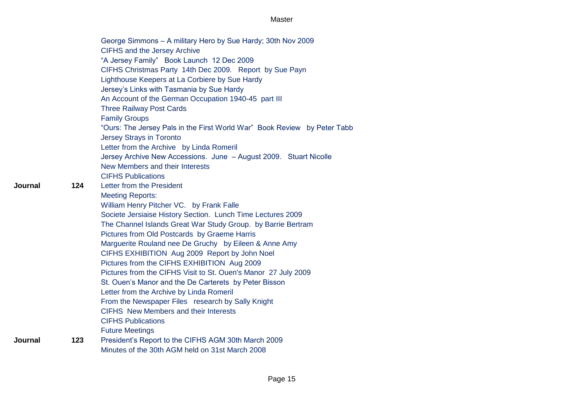|         |     | George Simmons - A military Hero by Sue Hardy; 30th Nov 2009<br><b>CIFHS and the Jersey Archive</b><br>"A Jersey Family" Book Launch 12 Dec 2009<br>CIFHS Christmas Party 14th Dec 2009. Report by Sue Payn<br>Lighthouse Keepers at La Corbiere by Sue Hardy<br>Jersey's Links with Tasmania by Sue Hardy<br>An Account of the German Occupation 1940-45 part III<br><b>Three Railway Post Cards</b><br><b>Family Groups</b><br>"Ours: The Jersey Pals in the First World War" Book Review by Peter Tabb<br><b>Jersey Strays in Toronto</b> |
|---------|-----|----------------------------------------------------------------------------------------------------------------------------------------------------------------------------------------------------------------------------------------------------------------------------------------------------------------------------------------------------------------------------------------------------------------------------------------------------------------------------------------------------------------------------------------------|
|         |     | Letter from the Archive by Linda Romeril<br>Jersey Archive New Accessions. June - August 2009. Stuart Nicolle                                                                                                                                                                                                                                                                                                                                                                                                                                |
|         |     | New Members and their Interests                                                                                                                                                                                                                                                                                                                                                                                                                                                                                                              |
|         |     | <b>CIFHS Publications</b>                                                                                                                                                                                                                                                                                                                                                                                                                                                                                                                    |
| Journal | 124 | Letter from the President                                                                                                                                                                                                                                                                                                                                                                                                                                                                                                                    |
|         |     | <b>Meeting Reports:</b>                                                                                                                                                                                                                                                                                                                                                                                                                                                                                                                      |
|         |     | William Henry Pitcher VC. by Frank Falle                                                                                                                                                                                                                                                                                                                                                                                                                                                                                                     |
|         |     | Societe Jersiaise History Section. Lunch Time Lectures 2009                                                                                                                                                                                                                                                                                                                                                                                                                                                                                  |
|         |     | The Channel Islands Great War Study Group. by Barrie Bertram                                                                                                                                                                                                                                                                                                                                                                                                                                                                                 |
|         |     | Pictures from Old Postcards by Graeme Harris                                                                                                                                                                                                                                                                                                                                                                                                                                                                                                 |
|         |     | Marguerite Rouland nee De Gruchy by Eileen & Anne Amy                                                                                                                                                                                                                                                                                                                                                                                                                                                                                        |
|         |     | CIFHS EXHIBITION Aug 2009 Report by John Noel                                                                                                                                                                                                                                                                                                                                                                                                                                                                                                |
|         |     | Pictures from the CIFHS EXHIBITION Aug 2009                                                                                                                                                                                                                                                                                                                                                                                                                                                                                                  |
|         |     | Pictures from the CIFHS Visit to St. Ouen's Manor 27 July 2009                                                                                                                                                                                                                                                                                                                                                                                                                                                                               |
|         |     | St. Ouen's Manor and the De Carterets by Peter Bisson                                                                                                                                                                                                                                                                                                                                                                                                                                                                                        |
|         |     | Letter from the Archive by Linda Romeril                                                                                                                                                                                                                                                                                                                                                                                                                                                                                                     |
|         |     | From the Newspaper Files research by Sally Knight                                                                                                                                                                                                                                                                                                                                                                                                                                                                                            |
|         |     | <b>CIFHS</b> New Members and their Interests                                                                                                                                                                                                                                                                                                                                                                                                                                                                                                 |
|         |     | <b>CIFHS Publications</b>                                                                                                                                                                                                                                                                                                                                                                                                                                                                                                                    |
|         |     | <b>Future Meetings</b>                                                                                                                                                                                                                                                                                                                                                                                                                                                                                                                       |
| Journal | 123 | President's Report to the CIFHS AGM 30th March 2009                                                                                                                                                                                                                                                                                                                                                                                                                                                                                          |
|         |     | Minutes of the 30th AGM held on 31st March 2008                                                                                                                                                                                                                                                                                                                                                                                                                                                                                              |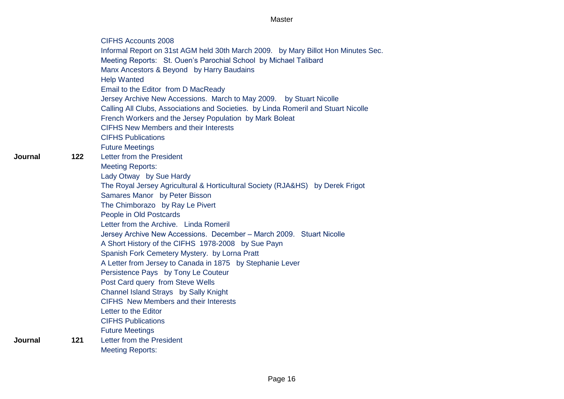|     | <b>CIFHS Accounts 2008</b>                                                         |
|-----|------------------------------------------------------------------------------------|
|     | Informal Report on 31st AGM held 30th March 2009. by Mary Billot Hon Minutes Sec.  |
|     | Meeting Reports: St. Ouen's Parochial School by Michael Talibard                   |
|     | Manx Ancestors & Beyond by Harry Baudains                                          |
|     | <b>Help Wanted</b>                                                                 |
|     | Email to the Editor from D MacReady                                                |
|     | Jersey Archive New Accessions. March to May 2009. by Stuart Nicolle                |
|     | Calling All Clubs, Associations and Societies. by Linda Romeril and Stuart Nicolle |
|     | French Workers and the Jersey Population by Mark Boleat                            |
|     | <b>CIFHS New Members and their Interests</b>                                       |
|     | <b>CIFHS Publications</b>                                                          |
|     | <b>Future Meetings</b>                                                             |
| 122 | Letter from the President                                                          |
|     | <b>Meeting Reports:</b>                                                            |
|     | Lady Otway by Sue Hardy                                                            |
|     | The Royal Jersey Agricultural & Horticultural Society (RJA&HS) by Derek Frigot     |
|     | Samares Manor by Peter Bisson                                                      |
|     | The Chimborazo by Ray Le Pivert                                                    |
|     | People in Old Postcards                                                            |
|     | Letter from the Archive. Linda Romeril                                             |
|     | Jersey Archive New Accessions. December - March 2009. Stuart Nicolle               |
|     | A Short History of the CIFHS 1978-2008 by Sue Payn                                 |
|     | Spanish Fork Cemetery Mystery. by Lorna Pratt                                      |
|     | A Letter from Jersey to Canada in 1875 by Stephanie Lever                          |
|     | Persistence Pays by Tony Le Couteur                                                |
|     | Post Card query from Steve Wells                                                   |
|     | Channel Island Strays by Sally Knight                                              |
|     | <b>CIFHS</b> New Members and their Interests                                       |
|     | Letter to the Editor                                                               |
|     | <b>CIFHS Publications</b>                                                          |
|     | <b>Future Meetings</b>                                                             |
| 121 | Letter from the President                                                          |
|     | <b>Meeting Reports:</b>                                                            |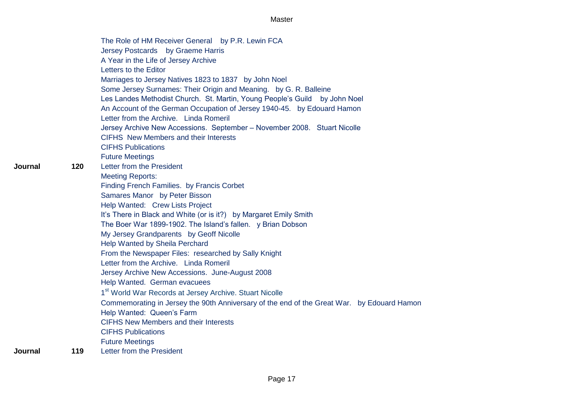The Role of HM Receiver General by P.R. Lewin FCA Jersey Postcards by Graeme Harris A Year in the Life of Jersey Archive Letters to the Editor Marriages to Jersey Natives 1823 to 1837 by John Noel Some Jersey Surnames: Their Origin and Meaning. by G. R. Balleine Les Landes Methodist Church. St. Martin, Young People's Guild by John Noel An Account of the German Occupation of Jersey 1940-45. by Edouard Hamon Letter from the Archive. Linda Romeril Jersey Archive New Accessions. September – November 2008. Stuart Nicolle CIFHS New Members and their Interests CIFHS Publications Future Meetings **Journal 120** Letter from the President Meeting Reports: Finding French Families. by Francis Corbet Samares Manor by Peter Bisson Help Wanted: Crew Lists Project It's There in Black and White (or is it?) by Margaret Emily Smith The Boer War 1899-1902. The Island's fallen. y Brian Dobson My Jersey Grandparents by Geoff Nicolle Help Wanted by Sheila Perchard From the Newspaper Files: researched by Sally Knight Letter from the Archive. Linda Romeril Jersey Archive New Accessions. June-August 2008 Help Wanted. German evacuees 1<sup>st</sup> World War Records at Jersey Archive. Stuart Nicolle Commemorating in Jersey the 90th Anniversary of the end of the Great War. by Edouard Hamon Help Wanted: Queen's Farm CIFHS New Members and their Interests CIFHS Publications Future Meetings **Journal 119** Letter from the President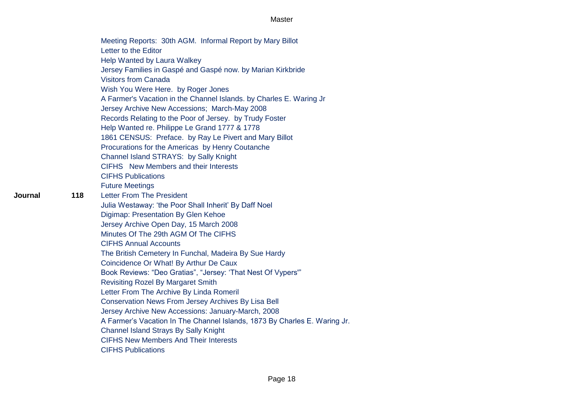| Meeting Reports: 30th AGM. Informal Report by Mary Billot                 |
|---------------------------------------------------------------------------|
| Letter to the Editor                                                      |
| Help Wanted by Laura Walkey                                               |
| Jersey Families in Gaspé and Gaspé now. by Marian Kirkbride               |
| <b>Visitors from Canada</b>                                               |
| Wish You Were Here. by Roger Jones                                        |
| A Farmer's Vacation in the Channel Islands. by Charles E. Waring Jr       |
| Jersey Archive New Accessions; March-May 2008                             |
| Records Relating to the Poor of Jersey. by Trudy Foster                   |
| Help Wanted re. Philippe Le Grand 1777 & 1778                             |
| 1861 CENSUS: Preface. by Ray Le Pivert and Mary Billot                    |
| Procurations for the Americas by Henry Coutanche                          |
| Channel Island STRAYS: by Sally Knight                                    |
| CIFHS New Members and their Interests                                     |
| <b>CIFHS Publications</b>                                                 |
| <b>Future Meetings</b>                                                    |
| <b>Letter From The President</b>                                          |
| Julia Westaway: 'the Poor Shall Inherit' By Daff Noel                     |
| Digimap: Presentation By Glen Kehoe                                       |
| Jersey Archive Open Day, 15 March 2008                                    |
| Minutes Of The 29th AGM Of The CIFHS                                      |
| <b>CIFHS Annual Accounts</b>                                              |
| The British Cemetery In Funchal, Madeira By Sue Hardy                     |
| Coincidence Or What! By Arthur De Caux                                    |
| Book Reviews: "Deo Gratias", "Jersey: 'That Nest Of Vypers'"              |
| <b>Revisiting Rozel By Margaret Smith</b>                                 |
| Letter From The Archive By Linda Romeril                                  |
| Conservation News From Jersey Archives By Lisa Bell                       |
| Jersey Archive New Accessions: January-March, 2008                        |
| A Farmer's Vacation In The Channel Islands, 1873 By Charles E. Waring Jr. |
| <b>Channel Island Strays By Sally Knight</b>                              |
| <b>CIFHS New Members And Their Interests</b>                              |
| <b>CIFHS Publications</b>                                                 |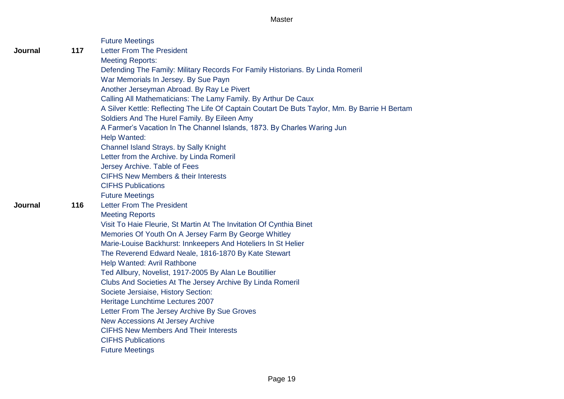|                |     | <b>Future Meetings</b>                                                                         |
|----------------|-----|------------------------------------------------------------------------------------------------|
| Journal        | 117 | <b>Letter From The President</b>                                                               |
|                |     | <b>Meeting Reports:</b>                                                                        |
|                |     | Defending The Family: Military Records For Family Historians. By Linda Romeril                 |
|                |     | War Memorials In Jersey. By Sue Payn                                                           |
|                |     | Another Jerseyman Abroad. By Ray Le Pivert                                                     |
|                |     | Calling All Mathematicians: The Lamy Family. By Arthur De Caux                                 |
|                |     | A Silver Kettle: Reflecting The Life Of Captain Coutart De Buts Taylor, Mm. By Barrie H Bertam |
|                |     | Soldiers And The Hurel Family. By Eileen Amy                                                   |
|                |     | A Farmer's Vacation In The Channel Islands, 1873. By Charles Waring Jun                        |
|                |     | Help Wanted:                                                                                   |
|                |     | Channel Island Strays. by Sally Knight                                                         |
|                |     | Letter from the Archive. by Linda Romeril                                                      |
|                |     | Jersey Archive. Table of Fees                                                                  |
|                |     | <b>CIFHS New Members &amp; their Interests</b>                                                 |
|                |     | <b>CIFHS Publications</b>                                                                      |
|                |     | <b>Future Meetings</b>                                                                         |
| <b>Journal</b> | 116 | <b>Letter From The President</b>                                                               |
|                |     | <b>Meeting Reports</b>                                                                         |
|                |     | Visit To Haie Fleurie, St Martin At The Invitation Of Cynthia Binet                            |
|                |     | Memories Of Youth On A Jersey Farm By George Whitley                                           |
|                |     | Marie-Louise Backhurst: Innkeepers And Hoteliers In St Helier                                  |
|                |     | The Reverend Edward Neale, 1816-1870 By Kate Stewart                                           |
|                |     | Help Wanted: Avril Rathbone                                                                    |
|                |     | Ted Allbury, Novelist, 1917-2005 By Alan Le Boutillier                                         |
|                |     | Clubs And Societies At The Jersey Archive By Linda Romeril                                     |
|                |     | Societe Jersiaise, History Section:                                                            |
|                |     | Heritage Lunchtime Lectures 2007                                                               |
|                |     | Letter From The Jersey Archive By Sue Groves                                                   |
|                |     | <b>New Accessions At Jersey Archive</b>                                                        |
|                |     | <b>CIFHS New Members And Their Interests</b>                                                   |
|                |     | <b>CIFHS Publications</b>                                                                      |
|                |     | <b>Future Meetings</b>                                                                         |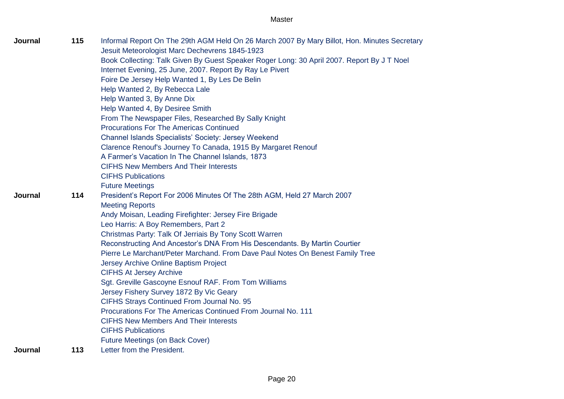Page 20

| Journal | 115 | Informal Report On The 29th AGM Held On 26 March 2007 By Mary Billot, Hon. Minutes Secretary |
|---------|-----|----------------------------------------------------------------------------------------------|
|         |     | Jesuit Meteorologist Marc Dechevrens 1845-1923                                               |
|         |     | Book Collecting: Talk Given By Guest Speaker Roger Long: 30 April 2007. Report By J T Noel   |
|         |     | Internet Evening, 25 June, 2007. Report By Ray Le Pivert                                     |
|         |     | Foire De Jersey Help Wanted 1, By Les De Belin                                               |
|         |     | Help Wanted 2, By Rebecca Lale                                                               |
|         |     | Help Wanted 3, By Anne Dix                                                                   |
|         |     | Help Wanted 4, By Desiree Smith                                                              |
|         |     | From The Newspaper Files, Researched By Sally Knight                                         |
|         |     | <b>Procurations For The Americas Continued</b>                                               |
|         |     | Channel Islands Specialists' Society: Jersey Weekend                                         |
|         |     | Clarence Renouf's Journey To Canada, 1915 By Margaret Renouf                                 |
|         |     | A Farmer's Vacation In The Channel Islands, 1873                                             |
|         |     | <b>CIFHS New Members And Their Interests</b>                                                 |
|         |     | <b>CIFHS Publications</b>                                                                    |
|         |     | <b>Future Meetings</b>                                                                       |
| Journal | 114 | President's Report For 2006 Minutes Of The 28th AGM, Held 27 March 2007                      |
|         |     | <b>Meeting Reports</b>                                                                       |
|         |     | Andy Moisan, Leading Firefighter: Jersey Fire Brigade                                        |
|         |     | Leo Harris: A Boy Remembers, Part 2                                                          |
|         |     | Christmas Party: Talk Of Jerriais By Tony Scott Warren                                       |
|         |     | Reconstructing And Ancestor's DNA From His Descendants. By Martin Courtier                   |
|         |     | Pierre Le Marchant/Peter Marchand. From Dave Paul Notes On Benest Family Tree                |
|         |     | Jersey Archive Online Baptism Project                                                        |
|         |     | <b>CIFHS At Jersey Archive</b>                                                               |
|         |     | Sgt. Greville Gascoyne Esnouf RAF. From Tom Williams                                         |
|         |     | Jersey Fishery Survey 1872 By Vic Geary                                                      |
|         |     | CIFHS Strays Continued From Journal No. 95                                                   |
|         |     | Procurations For The Americas Continued From Journal No. 111                                 |
|         |     | <b>CIFHS New Members And Their Interests</b>                                                 |
|         |     | <b>CIFHS Publications</b>                                                                    |
|         |     | Future Meetings (on Back Cover)                                                              |
| Journal | 113 | Letter from the President.                                                                   |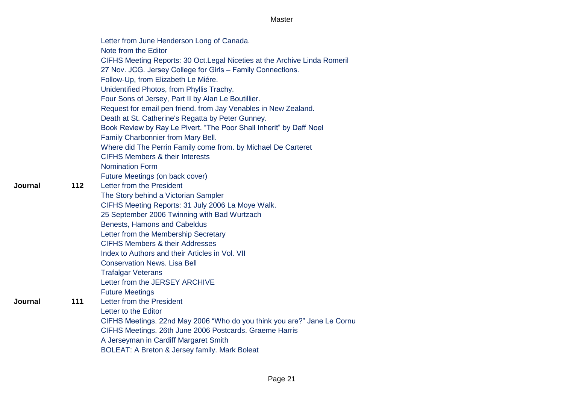|         |     | Letter from June Henderson Long of Canada.                                 |
|---------|-----|----------------------------------------------------------------------------|
|         |     | Note from the Editor                                                       |
|         |     | CIFHS Meeting Reports: 30 Oct. Legal Niceties at the Archive Linda Romeril |
|         |     | 27 Nov. JCG. Jersey College for Girls - Family Connections.                |
|         |     | Follow-Up, from Elizabeth Le Miére.                                        |
|         |     | Unidentified Photos, from Phyllis Trachy.                                  |
|         |     | Four Sons of Jersey, Part II by Alan Le Boutillier.                        |
|         |     | Request for email pen friend. from Jay Venables in New Zealand.            |
|         |     | Death at St. Catherine's Regatta by Peter Gunney.                          |
|         |     | Book Review by Ray Le Pivert. "The Poor Shall Inherit" by Daff Noel        |
|         |     | Family Charbonnier from Mary Bell.                                         |
|         |     | Where did The Perrin Family come from. by Michael De Carteret              |
|         |     | <b>CIFHS Members &amp; their Interests</b>                                 |
|         |     | <b>Nomination Form</b>                                                     |
|         |     | Future Meetings (on back cover)                                            |
| Journal | 112 | Letter from the President                                                  |
|         |     | The Story behind a Victorian Sampler                                       |
|         |     | CIFHS Meeting Reports: 31 July 2006 La Moye Walk.                          |
|         |     | 25 September 2006 Twinning with Bad Wurtzach                               |
|         |     | Benests, Hamons and Cabeldus                                               |
|         |     | Letter from the Membership Secretary                                       |
|         |     | <b>CIFHS Members &amp; their Addresses</b>                                 |
|         |     | Index to Authors and their Articles in Vol. VII                            |
|         |     | <b>Conservation News, Lisa Bell</b>                                        |
|         |     | <b>Trafalgar Veterans</b>                                                  |
|         |     | Letter from the JERSEY ARCHIVE                                             |
|         |     | <b>Future Meetings</b>                                                     |
| Journal | 111 | Letter from the President                                                  |
|         |     | Letter to the Editor                                                       |
|         |     | CIFHS Meetings. 22nd May 2006 "Who do you think you are?" Jane Le Cornu    |
|         |     | CIFHS Meetings. 26th June 2006 Postcards. Graeme Harris                    |
|         |     | A Jerseyman in Cardiff Margaret Smith                                      |
|         |     | <b>BOLEAT: A Breton &amp; Jersey family. Mark Boleat</b>                   |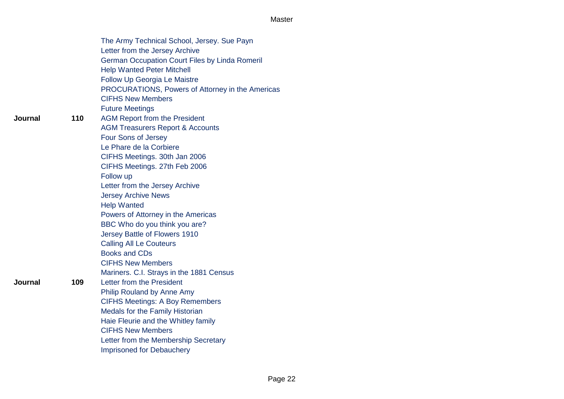|     | The Army Technical School, Jersey. Sue Payn           |
|-----|-------------------------------------------------------|
|     | Letter from the Jersey Archive                        |
|     | <b>German Occupation Court Files by Linda Romeril</b> |
|     | <b>Help Wanted Peter Mitchell</b>                     |
|     | <b>Follow Up Georgia Le Maistre</b>                   |
|     | PROCURATIONS, Powers of Attorney in the Americas      |
|     | <b>CIFHS New Members</b>                              |
|     | <b>Future Meetings</b>                                |
| 110 | <b>AGM Report from the President</b>                  |
|     | <b>AGM Treasurers Report &amp; Accounts</b>           |
|     | Four Sons of Jersey                                   |
|     | Le Phare de la Corbiere                               |
|     | CIFHS Meetings. 30th Jan 2006                         |
|     | CIFHS Meetings. 27th Feb 2006                         |
|     | Follow up                                             |
|     | Letter from the Jersey Archive                        |
|     | <b>Jersey Archive News</b>                            |
|     | <b>Help Wanted</b>                                    |
|     | Powers of Attorney in the Americas                    |
|     | BBC Who do you think you are?                         |
|     | Jersey Battle of Flowers 1910                         |
|     | <b>Calling All Le Couteurs</b>                        |
|     | <b>Books and CDs</b>                                  |
|     | <b>CIFHS New Members</b>                              |
|     | Mariners. C.I. Strays in the 1881 Census              |
| 109 | Letter from the President                             |
|     | Philip Rouland by Anne Amy                            |
|     | <b>CIFHS Meetings: A Boy Remembers</b>                |
|     | Medals for the Family Historian                       |
|     | Haie Fleurie and the Whitley family                   |
|     | <b>CIFHS New Members</b>                              |
|     | Letter from the Membership Secretary                  |
|     | <b>Imprisoned for Debauchery</b>                      |

**Journal**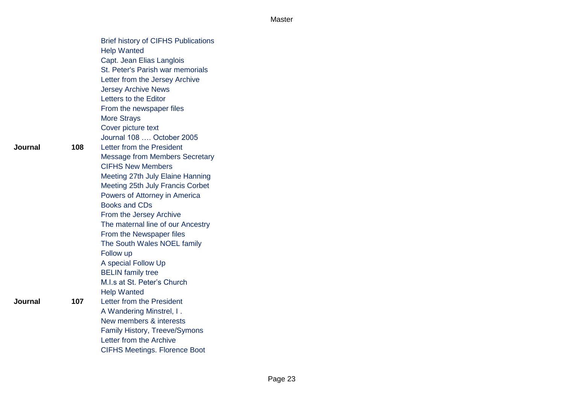|     | <b>Brief history of CIFHS Publications</b> |
|-----|--------------------------------------------|
|     | <b>Help Wanted</b>                         |
|     | Capt. Jean Elias Langlois                  |
|     | St. Peter's Parish war memorials           |
|     | Letter from the Jersey Archive             |
|     | <b>Jersey Archive News</b>                 |
|     | Letters to the Editor                      |
|     | From the newspaper files                   |
|     | <b>More Strays</b>                         |
|     | Cover picture text                         |
|     | Journal 108  October 2005                  |
| 108 | Letter from the President                  |
|     | <b>Message from Members Secretary</b>      |
|     | <b>CIFHS New Members</b>                   |
|     | Meeting 27th July Elaine Hanning           |
|     | Meeting 25th July Francis Corbet           |
|     | Powers of Attorney in America              |
|     | <b>Books and CDs</b>                       |
|     | From the Jersey Archive                    |
|     | The maternal line of our Ancestry          |
|     | From the Newspaper files                   |
|     | The South Wales NOEL family                |
|     | Follow up                                  |
|     | A special Follow Up                        |
|     | <b>BELIN</b> family tree                   |
|     | M.I.s at St. Peter's Church                |
|     | <b>Help Wanted</b>                         |
| 107 | Letter from the President                  |
|     | A Wandering Minstrel, I.                   |
|     | New members & interests                    |
|     | <b>Family History, Treeve/Symons</b>       |
|     | Letter from the Archive                    |
|     | <b>CIFHS Meetings. Florence Boot</b>       |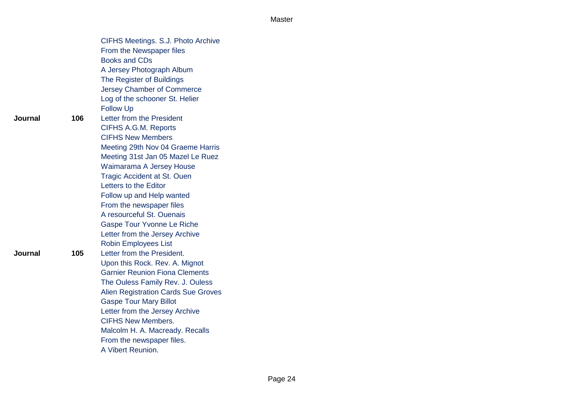|         |     | CIFHS Meetings. S.J. Photo Archive         |  |
|---------|-----|--------------------------------------------|--|
|         |     | From the Newspaper files                   |  |
|         |     | <b>Books and CDs</b>                       |  |
|         |     | A Jersey Photograph Album                  |  |
|         |     | The Register of Buildings                  |  |
|         |     | Jersey Chamber of Commerce                 |  |
|         |     | Log of the schooner St. Helier             |  |
|         |     | <b>Follow Up</b>                           |  |
| Journal | 106 | Letter from the President                  |  |
|         |     | <b>CIFHS A.G.M. Reports</b>                |  |
|         |     | <b>CIFHS New Members</b>                   |  |
|         |     | Meeting 29th Nov 04 Graeme Harris          |  |
|         |     | Meeting 31st Jan 05 Mazel Le Ruez          |  |
|         |     | Waimarama A Jersey House                   |  |
|         |     | <b>Tragic Accident at St. Ouen</b>         |  |
|         |     | Letters to the Editor                      |  |
|         |     | Follow up and Help wanted                  |  |
|         |     | From the newspaper files                   |  |
|         |     | A resourceful St. Ouenais                  |  |
|         |     | <b>Gaspe Tour Yvonne Le Riche</b>          |  |
|         |     | Letter from the Jersey Archive             |  |
|         |     | <b>Robin Employees List</b>                |  |
| Journal | 105 | Letter from the President.                 |  |
|         |     | Upon this Rock. Rev. A. Mignot             |  |
|         |     | <b>Garnier Reunion Fiona Clements</b>      |  |
|         |     | The Ouless Family Rev. J. Ouless           |  |
|         |     | <b>Alien Registration Cards Sue Groves</b> |  |
|         |     | <b>Gaspe Tour Mary Billot</b>              |  |
|         |     | Letter from the Jersey Archive             |  |
|         |     | <b>CIFHS New Members.</b>                  |  |
|         |     | Malcolm H. A. Macready. Recalls            |  |
|         |     | From the newspaper files.                  |  |
|         |     | A Vibert Reunion.                          |  |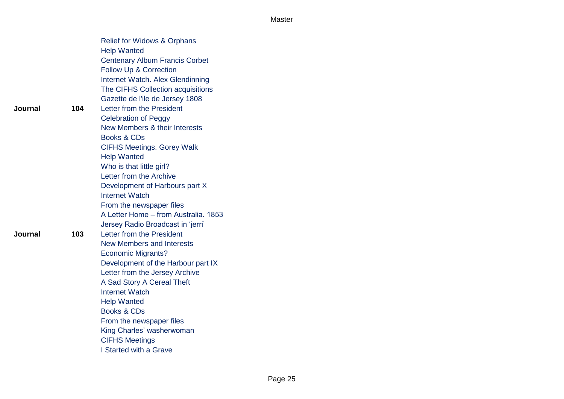|         |     | <b>Relief for Widows &amp; Orphans</b> |  |
|---------|-----|----------------------------------------|--|
|         |     | <b>Help Wanted</b>                     |  |
|         |     | <b>Centenary Album Francis Corbet</b>  |  |
|         |     | Follow Up & Correction                 |  |
|         |     | Internet Watch. Alex Glendinning       |  |
|         |     | The CIFHS Collection acquisitions      |  |
|         |     | Gazette de l'ile de Jersey 1808        |  |
| Journal | 104 | Letter from the President              |  |
|         |     | <b>Celebration of Peggy</b>            |  |
|         |     | New Members & their Interests          |  |
|         |     | <b>Books &amp; CDs</b>                 |  |
|         |     | <b>CIFHS Meetings. Gorey Walk</b>      |  |
|         |     | <b>Help Wanted</b>                     |  |
|         |     | Who is that little girl?               |  |
|         |     | Letter from the Archive                |  |
|         |     | Development of Harbours part X         |  |
|         |     | <b>Internet Watch</b>                  |  |
|         |     | From the newspaper files               |  |
|         |     | A Letter Home - from Australia. 1853   |  |
|         |     | Jersey Radio Broadcast in 'jerri'      |  |
| Journal | 103 | Letter from the President              |  |
|         |     | <b>New Members and Interests</b>       |  |
|         |     | <b>Economic Migrants?</b>              |  |
|         |     | Development of the Harbour part IX     |  |
|         |     | Letter from the Jersey Archive         |  |
|         |     | A Sad Story A Cereal Theft             |  |
|         |     | <b>Internet Watch</b>                  |  |
|         |     | <b>Help Wanted</b>                     |  |
|         |     | <b>Books &amp; CDs</b>                 |  |
|         |     | From the newspaper files               |  |
|         |     | King Charles' washerwoman              |  |
|         |     | <b>CIFHS Meetings</b>                  |  |
|         |     | I Started with a Grave                 |  |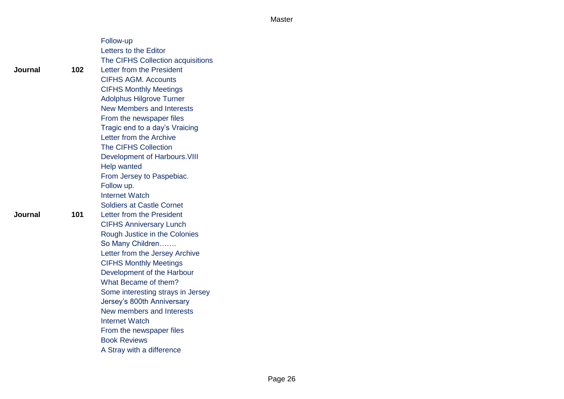|         |     | Follow-up                         |
|---------|-----|-----------------------------------|
|         |     | Letters to the Editor             |
|         |     | The CIFHS Collection acquisitions |
| Journal | 102 | Letter from the President         |
|         |     | <b>CIFHS AGM. Accounts</b>        |
|         |     | <b>CIFHS Monthly Meetings</b>     |
|         |     | <b>Adolphus Hilgrove Turner</b>   |
|         |     | <b>New Members and Interests</b>  |
|         |     | From the newspaper files          |
|         |     | Tragic end to a day's Vraicing    |
|         |     | Letter from the Archive           |
|         |     | <b>The CIFHS Collection</b>       |
|         |     | Development of Harbours. VIII     |
|         |     | Help wanted                       |
|         |     | From Jersey to Paspebiac.         |
|         |     | Follow up.                        |
|         |     | <b>Internet Watch</b>             |
|         |     | <b>Soldiers at Castle Cornet</b>  |
| Journal | 101 | Letter from the President         |
|         |     | <b>CIFHS Anniversary Lunch</b>    |
|         |     | Rough Justice in the Colonies     |
|         |     | So Many Children                  |
|         |     | Letter from the Jersey Archive    |
|         |     | <b>CIFHS Monthly Meetings</b>     |
|         |     | Development of the Harbour        |
|         |     | What Became of them?              |
|         |     | Some interesting strays in Jersey |
|         |     | Jersey's 800th Anniversary        |
|         |     | New members and Interests         |
|         |     | <b>Internet Watch</b>             |
|         |     | From the newspaper files          |
|         |     | <b>Book Reviews</b>               |
|         |     | A Stray with a difference         |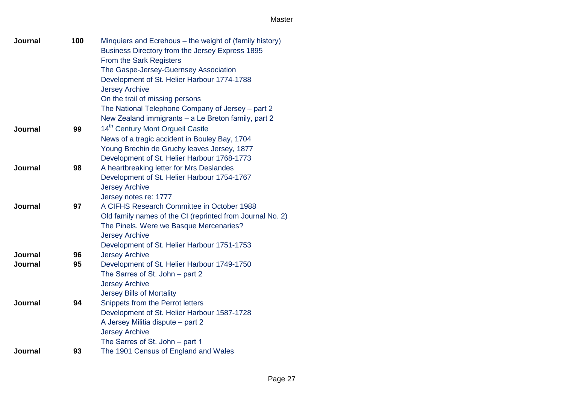| Journal        | 100 | Minquiers and Ecrehous - the weight of (family history)   |
|----------------|-----|-----------------------------------------------------------|
|                |     | Business Directory from the Jersey Express 1895           |
|                |     | From the Sark Registers                                   |
|                |     | The Gaspe-Jersey-Guernsey Association                     |
|                |     | Development of St. Helier Harbour 1774-1788               |
|                |     | <b>Jersey Archive</b>                                     |
|                |     | On the trail of missing persons                           |
|                |     | The National Telephone Company of Jersey - part 2         |
|                |     | New Zealand immigrants - a Le Breton family, part 2       |
| Journal        | 99  | 14 <sup>th</sup> Century Mont Orgueil Castle              |
|                |     | News of a tragic accident in Bouley Bay, 1704             |
|                |     | Young Brechin de Gruchy leaves Jersey, 1877               |
|                |     | Development of St. Helier Harbour 1768-1773               |
| Journal        | 98  | A heartbreaking letter for Mrs Deslandes                  |
|                |     | Development of St. Helier Harbour 1754-1767               |
|                |     | <b>Jersey Archive</b>                                     |
|                |     | Jersey notes re: 1777                                     |
| <b>Journal</b> | 97  | A CIFHS Research Committee in October 1988                |
|                |     | Old family names of the CI (reprinted from Journal No. 2) |
|                |     | The Pinels. Were we Basque Mercenaries?                   |
|                |     | <b>Jersey Archive</b>                                     |
|                |     | Development of St. Helier Harbour 1751-1753               |
| Journal        | 96  | <b>Jersey Archive</b>                                     |
| <b>Journal</b> | 95  | Development of St. Helier Harbour 1749-1750               |
|                |     | The Sarres of St. John - part 2                           |
|                |     | <b>Jersey Archive</b>                                     |
|                |     | <b>Jersey Bills of Mortality</b>                          |
| Journal        | 94  | Snippets from the Perrot letters                          |
|                |     | Development of St. Helier Harbour 1587-1728               |
|                |     | A Jersey Militia dispute - part 2                         |
|                |     | <b>Jersey Archive</b>                                     |
|                |     | The Sarres of St. John - part 1                           |
| Journal        | 93  | The 1901 Census of England and Wales                      |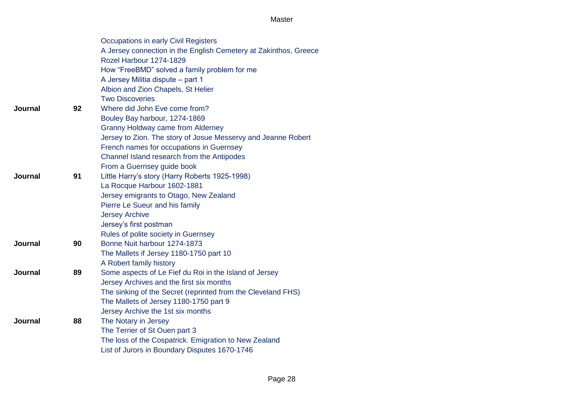|                |    | Occupations in early Civil Registers                             |
|----------------|----|------------------------------------------------------------------|
|                |    | A Jersey connection in the English Cemetery at Zakinthos, Greece |
|                |    | Rozel Harbour 1274-1829                                          |
|                |    | How "FreeBMD" solved a family problem for me                     |
|                |    | A Jersey Militia dispute - part 1                                |
|                |    | Albion and Zion Chapels, St Helier                               |
|                |    | <b>Two Discoveries</b>                                           |
| <b>Journal</b> | 92 | Where did John Eve come from?                                    |
|                |    | Bouley Bay harbour, 1274-1869                                    |
|                |    | <b>Granny Holdway came from Alderney</b>                         |
|                |    | Jersey to Zion. The story of Josue Messervy and Jeanne Robert    |
|                |    | French names for occupations in Guernsey                         |
|                |    | Channel Island research from the Antipodes                       |
|                |    | From a Guernsey guide book                                       |
| Journal        | 91 | Little Harry's story (Harry Roberts 1925-1998)                   |
|                |    | La Rocque Harbour 1602-1881                                      |
|                |    | Jersey emigrants to Otago, New Zealand                           |
|                |    | Pierre Le Sueur and his family                                   |
|                |    | <b>Jersey Archive</b>                                            |
|                |    | Jersey's first postman                                           |
|                |    | Rules of polite society in Guernsey                              |
| <b>Journal</b> | 90 | Bonne Nuit harbour 1274-1873                                     |
|                |    | The Mallets if Jersey 1180-1750 part 10                          |
|                |    | A Robert family history                                          |
| Journal        | 89 | Some aspects of Le Fief du Roi in the Island of Jersey           |
|                |    | Jersey Archives and the first six months                         |
|                |    | The sinking of the Secret (reprinted from the Cleveland FHS)     |
|                |    | The Mallets of Jersey 1180-1750 part 9                           |
|                |    | Jersey Archive the 1st six months                                |
| <b>Journal</b> | 88 | The Notary in Jersey                                             |
|                |    | The Terrier of St Ouen part 3                                    |
|                |    | The loss of the Cospatrick. Emigration to New Zealand            |
|                |    | List of Jurors in Boundary Disputes 1670-1746                    |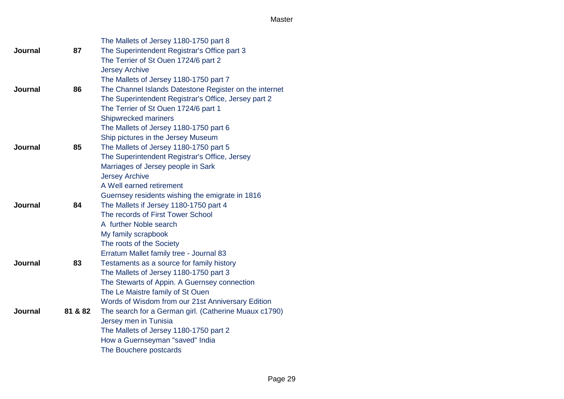|                |         | The Mallets of Jersey 1180-1750 part 8                 |
|----------------|---------|--------------------------------------------------------|
| <b>Journal</b> | 87      | The Superintendent Registrar's Office part 3           |
|                |         | The Terrier of St Ouen 1724/6 part 2                   |
|                |         | <b>Jersey Archive</b>                                  |
|                |         | The Mallets of Jersey 1180-1750 part 7                 |
| Journal        | 86      | The Channel Islands Datestone Register on the internet |
|                |         | The Superintendent Registrar's Office, Jersey part 2   |
|                |         | The Terrier of St Ouen 1724/6 part 1                   |
|                |         | Shipwrecked mariners                                   |
|                |         | The Mallets of Jersey 1180-1750 part 6                 |
|                |         | Ship pictures in the Jersey Museum                     |
| <b>Journal</b> | 85      | The Mallets of Jersey 1180-1750 part 5                 |
|                |         | The Superintendent Registrar's Office, Jersey          |
|                |         | Marriages of Jersey people in Sark                     |
|                |         | <b>Jersey Archive</b>                                  |
|                |         | A Well earned retirement                               |
|                |         | Guernsey residents wishing the emigrate in 1816        |
| <b>Journal</b> | 84      | The Mallets if Jersey 1180-1750 part 4                 |
|                |         | The records of First Tower School                      |
|                |         | A further Noble search                                 |
|                |         | My family scrapbook                                    |
|                |         | The roots of the Society                               |
|                |         | Erratum Mallet family tree - Journal 83                |
| Journal        | 83      | Testaments as a source for family history              |
|                |         | The Mallets of Jersey 1180-1750 part 3                 |
|                |         | The Stewarts of Appin. A Guernsey connection           |
|                |         | The Le Maistre family of St Ouen                       |
|                |         | Words of Wisdom from our 21st Anniversary Edition      |
| <b>Journal</b> | 81 & 82 | The search for a German girl. (Catherine Muaux c1790)  |
|                |         | Jersey men in Tunisia                                  |
|                |         | The Mallets of Jersey 1180-1750 part 2                 |
|                |         | How a Guernseyman "saved" India                        |
|                |         | The Bouchere postcards                                 |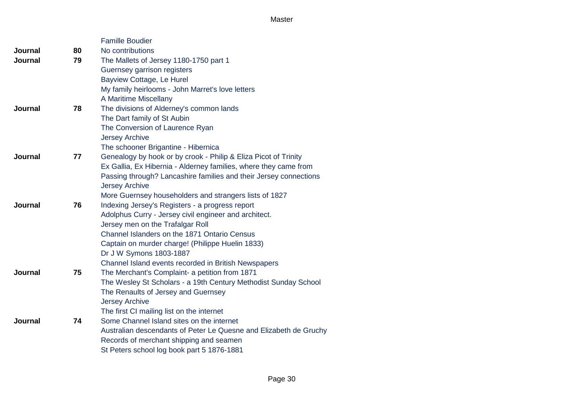|                |    | <b>Famille Boudier</b>                                            |
|----------------|----|-------------------------------------------------------------------|
| Journal        | 80 | No contributions                                                  |
| Journal        | 79 | The Mallets of Jersey 1180-1750 part 1                            |
|                |    | Guernsey garrison registers                                       |
|                |    | Bayview Cottage, Le Hurel                                         |
|                |    | My family heirlooms - John Marret's love letters                  |
|                |    | A Maritime Miscellany                                             |
| <b>Journal</b> | 78 | The divisions of Alderney's common lands                          |
|                |    | The Dart family of St Aubin                                       |
|                |    | The Conversion of Laurence Ryan                                   |
|                |    | <b>Jersey Archive</b>                                             |
|                |    | The schooner Brigantine - Hibernica                               |
| <b>Journal</b> | 77 | Genealogy by hook or by crook - Philip & Eliza Picot of Trinity   |
|                |    | Ex Gallia, Ex Hibernia - Alderney families, where they came from  |
|                |    | Passing through? Lancashire families and their Jersey connections |
|                |    | <b>Jersey Archive</b>                                             |
|                |    | More Guernsey householders and strangers lists of 1827            |
| Journal        | 76 | Indexing Jersey's Registers - a progress report                   |
|                |    | Adolphus Curry - Jersey civil engineer and architect.             |
|                |    | Jersey men on the Trafalgar Roll                                  |
|                |    | Channel Islanders on the 1871 Ontario Census                      |
|                |    | Captain on murder charge! (Philippe Huelin 1833)                  |
|                |    | Dr J W Symons 1803-1887                                           |
|                |    | Channel Island events recorded in British Newspapers              |
| <b>Journal</b> | 75 | The Merchant's Complaint- a petition from 1871                    |
|                |    | The Wesley St Scholars - a 19th Century Methodist Sunday School   |
|                |    | The Renaults of Jersey and Guernsey                               |
|                |    | <b>Jersey Archive</b>                                             |
|                |    | The first CI mailing list on the internet                         |
| Journal        | 74 | Some Channel Island sites on the internet                         |
|                |    | Australian descendants of Peter Le Quesne and Elizabeth de Gruchy |
|                |    | Records of merchant shipping and seamen                           |
|                |    | St Peters school log book part 5 1876-1881                        |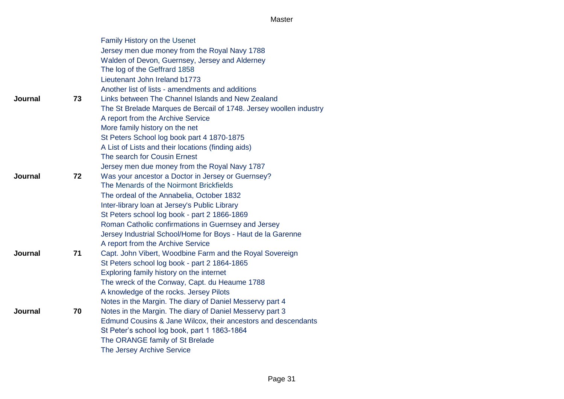|                |    | Family History on the Usenet                                       |
|----------------|----|--------------------------------------------------------------------|
|                |    | Jersey men due money from the Royal Navy 1788                      |
|                |    | Walden of Devon, Guernsey, Jersey and Alderney                     |
|                |    | The log of the Geffrard 1858                                       |
|                |    | Lieutenant John Ireland b1773                                      |
|                |    | Another list of lists - amendments and additions                   |
| <b>Journal</b> | 73 | Links between The Channel Islands and New Zealand                  |
|                |    | The St Brelade Marques de Bercail of 1748. Jersey woollen industry |
|                |    | A report from the Archive Service                                  |
|                |    | More family history on the net                                     |
|                |    | St Peters School log book part 4 1870-1875                         |
|                |    | A List of Lists and their locations (finding aids)                 |
|                |    | The search for Cousin Ernest                                       |
|                |    | Jersey men due money from the Royal Navy 1787                      |
| Journal        | 72 | Was your ancestor a Doctor in Jersey or Guernsey?                  |
|                |    | The Menards of the Noirmont Brickfields                            |
|                |    | The ordeal of the Annabelia, October 1832                          |
|                |    | Inter-library loan at Jersey's Public Library                      |
|                |    | St Peters school log book - part 2 1866-1869                       |
|                |    | Roman Catholic confirmations in Guernsey and Jersey                |
|                |    | Jersey Industrial School/Home for Boys - Haut de la Garenne        |
|                |    | A report from the Archive Service                                  |
| Journal        | 71 | Capt. John Vibert, Woodbine Farm and the Royal Sovereign           |
|                |    | St Peters school log book - part 2 1864-1865                       |
|                |    | Exploring family history on the internet                           |
|                |    | The wreck of the Conway, Capt. du Heaume 1788                      |
|                |    | A knowledge of the rocks. Jersey Pilots                            |
|                |    | Notes in the Margin. The diary of Daniel Messervy part 4           |
| <b>Journal</b> | 70 | Notes in the Margin. The diary of Daniel Messervy part 3           |
|                |    | Edmund Cousins & Jane Wilcox, their ancestors and descendants      |
|                |    | St Peter's school log book, part 1 1863-1864                       |
|                |    | The ORANGE family of St Brelade                                    |
|                |    | <b>The Jersey Archive Service</b>                                  |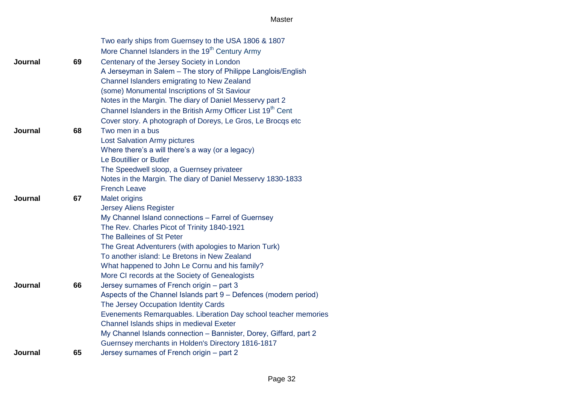|         |    | Two early ships from Guernsey to the USA 1806 & 1807                                                     |
|---------|----|----------------------------------------------------------------------------------------------------------|
|         |    | More Channel Islanders in the 19 <sup>th</sup> Century Army                                              |
| Journal | 69 | Centenary of the Jersey Society in London                                                                |
|         |    | A Jerseyman in Salem - The story of Philippe Langlois/English                                            |
|         |    | Channel Islanders emigrating to New Zealand                                                              |
|         |    | (some) Monumental Inscriptions of St Saviour                                                             |
|         |    | Notes in the Margin. The diary of Daniel Messervy part 2                                                 |
|         |    | Channel Islanders in the British Army Officer List 19 <sup>th</sup> Cent                                 |
|         |    | Cover story. A photograph of Doreys, Le Gros, Le Brocqs etc                                              |
| Journal | 68 | Two men in a bus                                                                                         |
|         |    | <b>Lost Salvation Army pictures</b>                                                                      |
|         |    | Where there's a will there's a way (or a legacy)                                                         |
|         |    | Le Boutillier or Butler                                                                                  |
|         |    | The Speedwell sloop, a Guernsey privateer                                                                |
|         |    | Notes in the Margin. The diary of Daniel Messervy 1830-1833                                              |
|         |    | <b>French Leave</b>                                                                                      |
| Journal | 67 | <b>Malet origins</b>                                                                                     |
|         |    | <b>Jersey Aliens Register</b>                                                                            |
|         |    | My Channel Island connections - Farrel of Guernsey                                                       |
|         |    | The Rev. Charles Picot of Trinity 1840-1921                                                              |
|         |    | The Balleines of St Peter                                                                                |
|         |    | The Great Adventurers (with apologies to Marion Turk)                                                    |
|         |    | To another island: Le Bretons in New Zealand                                                             |
|         |    | What happened to John Le Cornu and his family?                                                           |
| Journal | 66 | More CI records at the Society of Genealogists                                                           |
|         |    | Jersey surnames of French origin - part 3                                                                |
|         |    | Aspects of the Channel Islands part 9 – Defences (modern period)<br>The Jersey Occupation Identity Cards |
|         |    | Evenements Remarquables. Liberation Day school teacher memories                                          |
|         |    | Channel Islands ships in medieval Exeter                                                                 |
|         |    | My Channel Islands connection - Bannister, Dorey, Giffard, part 2                                        |
|         |    | Guernsey merchants in Holden's Directory 1816-1817                                                       |
| Journal | 65 | Jersey surnames of French origin - part 2                                                                |
|         |    |                                                                                                          |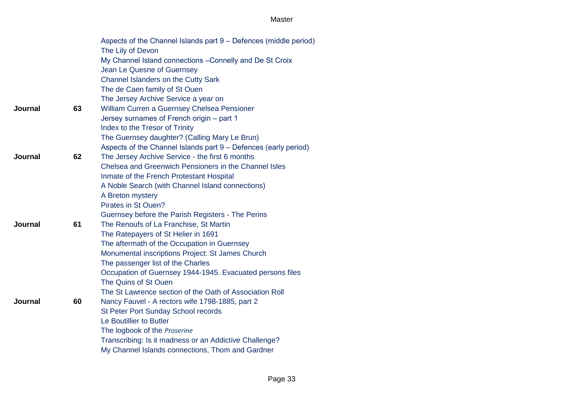|                |    | Aspects of the Channel Islands part 9 - Defences (middle period) |
|----------------|----|------------------------------------------------------------------|
|                |    | The Lily of Devon                                                |
|                |    | My Channel Island connections - Connelly and De St Croix         |
|                |    | Jean Le Quesne of Guernsey                                       |
|                |    | Channel Islanders on the Cutty Sark                              |
|                |    | The de Caen family of St Ouen                                    |
|                |    | The Jersey Archive Service a year on                             |
| <b>Journal</b> | 63 | William Curren a Guernsey Chelsea Pensioner                      |
|                |    | Jersey surnames of French origin - part 1                        |
|                |    | Index to the Tresor of Trinity                                   |
|                |    | The Guernsey daughter? (Calling Mary Le Brun)                    |
|                |    | Aspects of the Channel Islands part 9 – Defences (early period)  |
| <b>Journal</b> | 62 | The Jersey Archive Service - the first 6 months                  |
|                |    | Chelsea and Greenwich Pensioners in the Channel Isles            |
|                |    | Inmate of the French Protestant Hospital                         |
|                |    | A Noble Search (with Channel Island connections)                 |
|                |    | A Breton mystery                                                 |
|                |    | Pirates in St Ouen?                                              |
|                |    | Guernsey before the Parish Registers - The Perins                |
| <b>Journal</b> | 61 | The Renoufs of La Franchise, St Martin                           |
|                |    | The Ratepayers of St Helier in 1691                              |
|                |    | The aftermath of the Occupation in Guernsey                      |
|                |    | Monumental inscriptions Project: St James Church                 |
|                |    | The passenger list of the Charles                                |
|                |    | Occupation of Guernsey 1944-1945. Evacuated persons files        |
|                |    | The Quins of St Ouen                                             |
|                |    | The St Lawrence section of the Oath of Association Roll          |
| <b>Journal</b> | 60 | Nancy Fauvel - A rectors wife 1798-1885, part 2                  |
|                |    | St Peter Port Sunday School records                              |
|                |    | Le Boutillier to Butler                                          |
|                |    | The logbook of the Proserine                                     |
|                |    | Transcribing: Is it madness or an Addictive Challenge?           |
|                |    | My Channel Islands connections, Thom and Gardner                 |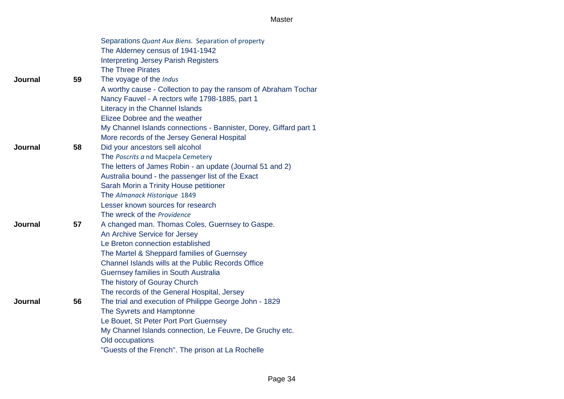|         |    | Separations Quant Aux Biens. Separation of property               |
|---------|----|-------------------------------------------------------------------|
|         |    | The Alderney census of 1941-1942                                  |
|         |    | <b>Interpreting Jersey Parish Registers</b>                       |
|         |    | <b>The Three Pirates</b>                                          |
| Journal | 59 | The voyage of the Indus                                           |
|         |    | A worthy cause - Collection to pay the ransom of Abraham Tochar   |
|         |    | Nancy Fauvel - A rectors wife 1798-1885, part 1                   |
|         |    | Literacy in the Channel Islands                                   |
|         |    | Elizee Dobree and the weather                                     |
|         |    | My Channel Islands connections - Bannister, Dorey, Giffard part 1 |
|         |    | More records of the Jersey General Hospital                       |
| Journal | 58 | Did your ancestors sell alcohol                                   |
|         |    | The Poscrits a nd Macpela Cemetery                                |
|         |    | The letters of James Robin - an update (Journal 51 and 2)         |
|         |    | Australia bound - the passenger list of the Exact                 |
|         |    | Sarah Morin a Trinity House petitioner                            |
|         |    | The Almanack Historique 1849                                      |
|         |    | Lesser known sources for research                                 |
|         |    | The wreck of the Providence                                       |
| Journal | 57 | A changed man. Thomas Coles, Guernsey to Gaspe.                   |
|         |    | An Archive Service for Jersey                                     |
|         |    | Le Breton connection established                                  |
|         |    | The Martel & Sheppard families of Guernsey                        |
|         |    | Channel Islands wills at the Public Records Office                |
|         |    | Guernsey families in South Australia                              |
|         |    | The history of Gouray Church                                      |
|         |    | The records of the General Hospital, Jersey                       |
| Journal | 56 | The trial and execution of Philippe George John - 1829            |
|         |    | The Syvrets and Hamptonne                                         |
|         |    | Le Bouet, St Peter Port Port Guernsey                             |
|         |    | My Channel Islands connection, Le Feuvre, De Gruchy etc.          |
|         |    | Old occupations                                                   |
|         |    | "Guests of the French". The prison at La Rochelle                 |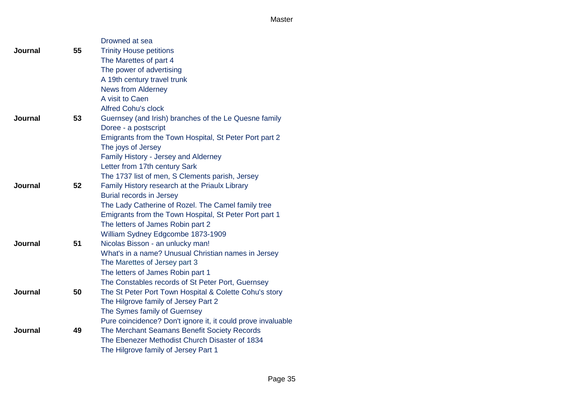|         |    | Drowned at sea                                               |
|---------|----|--------------------------------------------------------------|
| Journal | 55 | <b>Trinity House petitions</b>                               |
|         |    | The Marettes of part 4                                       |
|         |    | The power of advertising                                     |
|         |    | A 19th century travel trunk                                  |
|         |    | <b>News from Alderney</b>                                    |
|         |    | A visit to Caen                                              |
|         |    | <b>Alfred Cohu's clock</b>                                   |
| Journal | 53 | Guernsey (and Irish) branches of the Le Quesne family        |
|         |    | Doree - a postscript                                         |
|         |    | Emigrants from the Town Hospital, St Peter Port part 2       |
|         |    | The joys of Jersey                                           |
|         |    | Family History - Jersey and Alderney                         |
|         |    | Letter from 17th century Sark                                |
|         |    | The 1737 list of men, S Clements parish, Jersey              |
| Journal | 52 | Family History research at the Priaulx Library               |
|         |    | <b>Burial records in Jersey</b>                              |
|         |    | The Lady Catherine of Rozel. The Camel family tree           |
|         |    | Emigrants from the Town Hospital, St Peter Port part 1       |
|         |    | The letters of James Robin part 2                            |
|         |    | William Sydney Edgcombe 1873-1909                            |
| Journal | 51 | Nicolas Bisson - an unlucky man!                             |
|         |    | What's in a name? Unusual Christian names in Jersey          |
|         |    | The Marettes of Jersey part 3                                |
|         |    | The letters of James Robin part 1                            |
|         |    | The Constables records of St Peter Port, Guernsey            |
| Journal | 50 | The St Peter Port Town Hospital & Colette Cohu's story       |
|         |    | The Hilgrove family of Jersey Part 2                         |
|         |    | The Symes family of Guernsey                                 |
|         |    | Pure coincidence? Don't ignore it, it could prove invaluable |
| Journal | 49 | The Merchant Seamans Benefit Society Records                 |
|         |    | The Ebenezer Methodist Church Disaster of 1834               |
|         |    | The Hilgrove family of Jersey Part 1                         |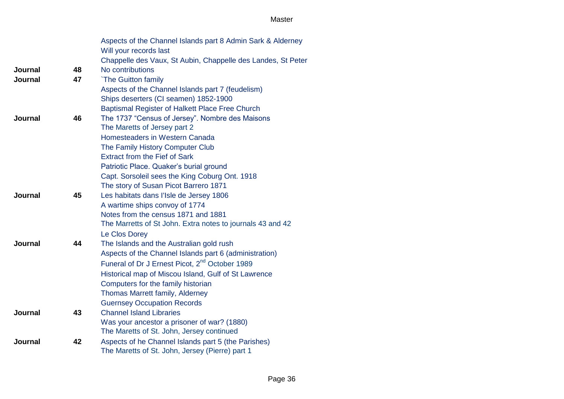|                |    | Aspects of the Channel Islands part 8 Admin Sark & Alderney  |
|----------------|----|--------------------------------------------------------------|
|                |    | Will your records last                                       |
|                |    | Chappelle des Vaux, St Aubin, Chappelle des Landes, St Peter |
| Journal        | 48 | No contributions                                             |
| <b>Journal</b> | 47 | `The Guitton family                                          |
|                |    | Aspects of the Channel Islands part 7 (feudelism)            |
|                |    | Ships deserters (CI seamen) 1852-1900                        |
|                |    | Baptismal Register of Halkett Place Free Church              |
| Journal        | 46 | The 1737 "Census of Jersey". Nombre des Maisons              |
|                |    | The Maretts of Jersey part 2                                 |
|                |    | Homesteaders in Western Canada                               |
|                |    | The Family History Computer Club                             |
|                |    | <b>Extract from the Fief of Sark</b>                         |
|                |    | Patriotic Place. Quaker's burial ground                      |
|                |    | Capt. Sorsoleil sees the King Coburg Ont. 1918               |
|                |    | The story of Susan Picot Barrero 1871                        |
| Journal        | 45 | Les habitats dans l'Isle de Jersey 1806                      |
|                |    | A wartime ships convoy of 1774                               |
|                |    | Notes from the census 1871 and 1881                          |
|                |    | The Marretts of St John. Extra notes to journals 43 and 42   |
|                |    | Le Clos Dorey                                                |
| <b>Journal</b> | 44 | The Islands and the Australian gold rush                     |
|                |    | Aspects of the Channel Islands part 6 (administration)       |
|                |    | Funeral of Dr J Ernest Picot, 2 <sup>nd</sup> October 1989   |
|                |    | Historical map of Miscou Island, Gulf of St Lawrence         |
|                |    | Computers for the family historian                           |
|                |    | Thomas Marrett family, Alderney                              |
|                |    | <b>Guernsey Occupation Records</b>                           |
| Journal        | 43 | <b>Channel Island Libraries</b>                              |
|                |    | Was your ancestor a prisoner of war? (1880)                  |
|                |    | The Maretts of St. John, Jersey continued                    |
| <b>Journal</b> | 42 | Aspects of he Channel Islands part 5 (the Parishes)          |
|                |    | The Maretts of St. John, Jersey (Pierre) part 1              |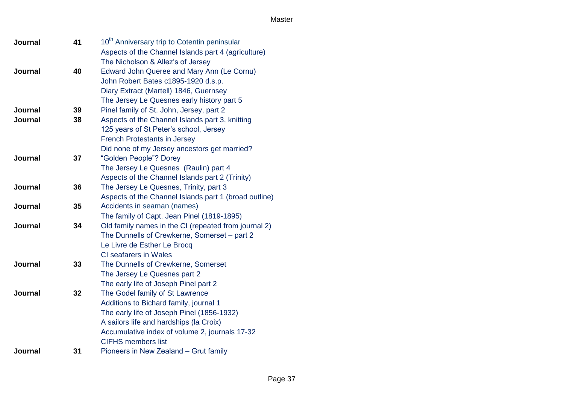| <b>Journal</b> | 41 | 10 <sup>th</sup> Anniversary trip to Cotentin peninsular |
|----------------|----|----------------------------------------------------------|
|                |    | Aspects of the Channel Islands part 4 (agriculture)      |
|                |    | The Nicholson & Allez's of Jersey                        |
| Journal        | 40 | Edward John Queree and Mary Ann (Le Cornu)               |
|                |    | John Robert Bates c1895-1920 d.s.p.                      |
|                |    | Diary Extract (Martell) 1846, Guernsey                   |
|                |    | The Jersey Le Quesnes early history part 5               |
| <b>Journal</b> | 39 | Pinel family of St. John, Jersey, part 2                 |
| <b>Journal</b> | 38 | Aspects of the Channel Islands part 3, knitting          |
|                |    | 125 years of St Peter's school, Jersey                   |
|                |    | <b>French Protestants in Jersey</b>                      |
|                |    | Did none of my Jersey ancestors get married?             |
| Journal        | 37 | "Golden People"? Dorey                                   |
|                |    | The Jersey Le Quesnes (Raulin) part 4                    |
|                |    | Aspects of the Channel Islands part 2 (Trinity)          |
| Journal        | 36 | The Jersey Le Quesnes, Trinity, part 3                   |
|                |    | Aspects of the Channel Islands part 1 (broad outline)    |
| <b>Journal</b> | 35 | Accidents in seaman (names)                              |
|                |    | The family of Capt. Jean Pinel (1819-1895)               |
| Journal        | 34 | Old family names in the CI (repeated from journal 2)     |
|                |    | The Dunnells of Crewkerne, Somerset - part 2             |
|                |    | Le Livre de Esther Le Brocq                              |
|                |    | <b>CI</b> seafarers in Wales                             |
| Journal        | 33 | The Dunnells of Crewkerne, Somerset                      |
|                |    | The Jersey Le Quesnes part 2                             |
|                |    | The early life of Joseph Pinel part 2                    |
| <b>Journal</b> | 32 | The Godel family of St Lawrence                          |
|                |    | Additions to Bichard family, journal 1                   |
|                |    | The early life of Joseph Pinel (1856-1932)               |
|                |    | A sailors life and hardships (la Croix)                  |
|                |    | Accumulative index of volume 2, journals 17-32           |
|                |    | <b>CIFHS members list</b>                                |
| Journal        | 31 | Pioneers in New Zealand - Grut family                    |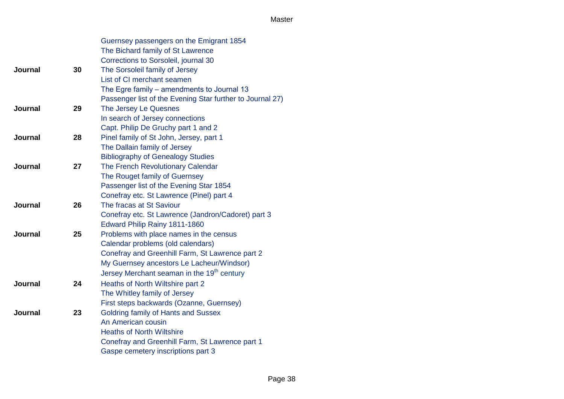|                |    | Guernsey passengers on the Emigrant 1854                  |
|----------------|----|-----------------------------------------------------------|
|                |    | The Bichard family of St Lawrence                         |
|                |    | Corrections to Sorsoleil, journal 30                      |
| Journal        | 30 | The Sorsoleil family of Jersey                            |
|                |    | List of CI merchant seamen                                |
|                |    | The Egre family - amendments to Journal 13                |
|                |    | Passenger list of the Evening Star further to Journal 27) |
| <b>Journal</b> | 29 | The Jersey Le Quesnes                                     |
|                |    | In search of Jersey connections                           |
|                |    | Capt. Philip De Gruchy part 1 and 2                       |
| <b>Journal</b> | 28 | Pinel family of St John, Jersey, part 1                   |
|                |    | The Dallain family of Jersey                              |
|                |    | <b>Bibliography of Genealogy Studies</b>                  |
| Journal        | 27 | The French Revolutionary Calendar                         |
|                |    | The Rouget family of Guernsey                             |
|                |    | Passenger list of the Evening Star 1854                   |
|                |    | Conefray etc. St Lawrence (Pinel) part 4                  |
| Journal        | 26 | The fracas at St Saviour                                  |
|                |    | Conefray etc. St Lawrence (Jandron/Cadoret) part 3        |
|                |    | Edward Philip Rainy 1811-1860                             |
| <b>Journal</b> | 25 | Problems with place names in the census                   |
|                |    | Calendar problems (old calendars)                         |
|                |    | Conefray and Greenhill Farm, St Lawrence part 2           |
|                |    | My Guernsey ancestors Le Lacheur/Windsor)                 |
|                |    | Jersey Merchant seaman in the 19 <sup>th</sup> century    |
| Journal        | 24 | Heaths of North Wiltshire part 2                          |
|                |    | The Whitley family of Jersey                              |
|                |    | First steps backwards (Ozanne, Guernsey)                  |
| <b>Journal</b> | 23 | Goldring family of Hants and Sussex                       |
|                |    | An American cousin                                        |
|                |    | <b>Heaths of North Wiltshire</b>                          |
|                |    | Conefray and Greenhill Farm, St Lawrence part 1           |
|                |    | Gaspe cemetery inscriptions part 3                        |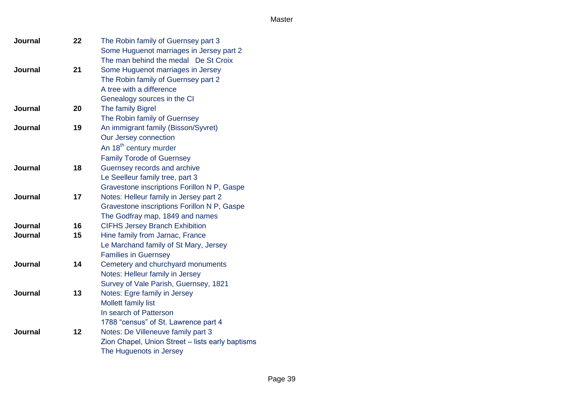| <b>Journal</b> | 22 | The Robin family of Guernsey part 3              |
|----------------|----|--------------------------------------------------|
|                |    | Some Huguenot marriages in Jersey part 2         |
|                |    | The man behind the medal De St Croix             |
| Journal        | 21 | Some Huguenot marriages in Jersey                |
|                |    | The Robin family of Guernsey part 2              |
|                |    | A tree with a difference                         |
|                |    | Genealogy sources in the CI                      |
| Journal        | 20 | The family Bigrel                                |
|                |    | The Robin family of Guernsey                     |
| Journal        | 19 | An immigrant family (Bisson/Syvret)              |
|                |    | Our Jersey connection                            |
|                |    | An 18 <sup>th</sup> century murder               |
|                |    | <b>Family Torode of Guernsey</b>                 |
| Journal        | 18 | Guernsey records and archive                     |
|                |    | Le Seelleur family tree, part 3                  |
|                |    | Gravestone inscriptions Forillon N P, Gaspe      |
| <b>Journal</b> | 17 | Notes: Helleur family in Jersey part 2           |
|                |    | Gravestone inscriptions Forillon N P, Gaspe      |
|                |    | The Godfray map, 1849 and names                  |
| <b>Journal</b> | 16 | <b>CIFHS Jersey Branch Exhibition</b>            |
| <b>Journal</b> | 15 | Hine family from Jarnac, France                  |
|                |    | Le Marchand family of St Mary, Jersey            |
|                |    | <b>Families in Guernsey</b>                      |
| Journal        | 14 | Cemetery and churchyard monuments                |
|                |    | Notes: Helleur family in Jersey                  |
|                |    | Survey of Vale Parish, Guernsey, 1821            |
| Journal        | 13 | Notes: Egre family in Jersey                     |
|                |    | <b>Mollett family list</b>                       |
|                |    | In search of Patterson                           |
|                |    | 1788 "census" of St. Lawrence part 4             |
| <b>Journal</b> | 12 | Notes: De Villeneuve family part 3               |
|                |    | Zion Chapel, Union Street - lists early baptisms |
|                |    | The Huguenots in Jersey                          |